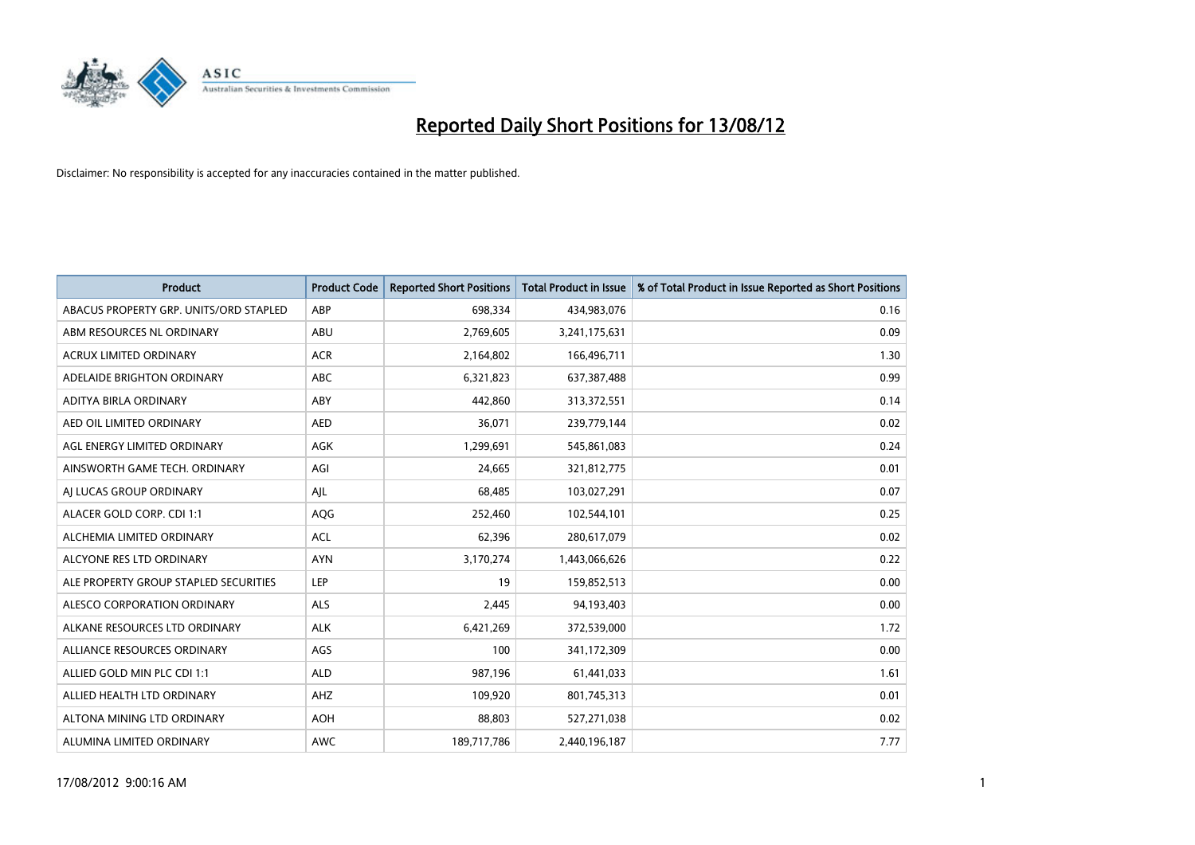

| <b>Product</b>                         | <b>Product Code</b> | <b>Reported Short Positions</b> | <b>Total Product in Issue</b> | % of Total Product in Issue Reported as Short Positions |
|----------------------------------------|---------------------|---------------------------------|-------------------------------|---------------------------------------------------------|
| ABACUS PROPERTY GRP. UNITS/ORD STAPLED | ABP                 | 698,334                         | 434,983,076                   | 0.16                                                    |
| ABM RESOURCES NL ORDINARY              | ABU                 | 2,769,605                       | 3,241,175,631                 | 0.09                                                    |
| <b>ACRUX LIMITED ORDINARY</b>          | <b>ACR</b>          | 2,164,802                       | 166,496,711                   | 1.30                                                    |
| ADELAIDE BRIGHTON ORDINARY             | <b>ABC</b>          | 6,321,823                       | 637,387,488                   | 0.99                                                    |
| <b>ADITYA BIRLA ORDINARY</b>           | ABY                 | 442,860                         | 313,372,551                   | 0.14                                                    |
| AED OIL LIMITED ORDINARY               | <b>AED</b>          | 36,071                          | 239,779,144                   | 0.02                                                    |
| AGL ENERGY LIMITED ORDINARY            | <b>AGK</b>          | 1,299,691                       | 545,861,083                   | 0.24                                                    |
| AINSWORTH GAME TECH. ORDINARY          | AGI                 | 24,665                          | 321,812,775                   | 0.01                                                    |
| AI LUCAS GROUP ORDINARY                | AJL                 | 68,485                          | 103,027,291                   | 0.07                                                    |
| ALACER GOLD CORP. CDI 1:1              | AQG                 | 252,460                         | 102,544,101                   | 0.25                                                    |
| ALCHEMIA LIMITED ORDINARY              | <b>ACL</b>          | 62,396                          | 280,617,079                   | 0.02                                                    |
| ALCYONE RES LTD ORDINARY               | <b>AYN</b>          | 3,170,274                       | 1,443,066,626                 | 0.22                                                    |
| ALE PROPERTY GROUP STAPLED SECURITIES  | LEP                 | 19                              | 159,852,513                   | 0.00                                                    |
| ALESCO CORPORATION ORDINARY            | ALS                 | 2,445                           | 94,193,403                    | 0.00                                                    |
| ALKANE RESOURCES LTD ORDINARY          | <b>ALK</b>          | 6,421,269                       | 372,539,000                   | 1.72                                                    |
| ALLIANCE RESOURCES ORDINARY            | AGS                 | 100                             | 341,172,309                   | 0.00                                                    |
| ALLIED GOLD MIN PLC CDI 1:1            | <b>ALD</b>          | 987,196                         | 61,441,033                    | 1.61                                                    |
| ALLIED HEALTH LTD ORDINARY             | <b>AHZ</b>          | 109,920                         | 801,745,313                   | 0.01                                                    |
| ALTONA MINING LTD ORDINARY             | <b>AOH</b>          | 88,803                          | 527,271,038                   | 0.02                                                    |
| ALUMINA LIMITED ORDINARY               | <b>AWC</b>          | 189,717,786                     | 2,440,196,187                 | 7.77                                                    |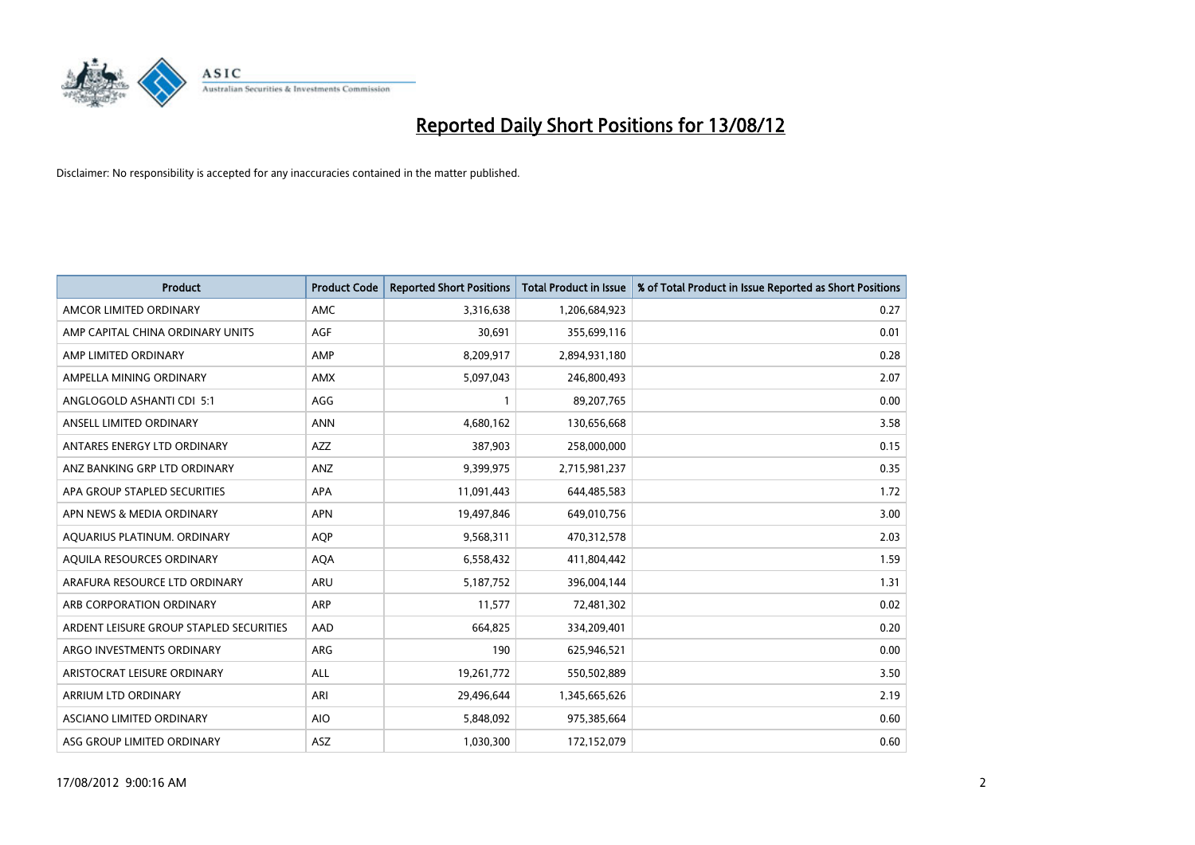

| <b>Product</b>                          | <b>Product Code</b> | <b>Reported Short Positions</b> | <b>Total Product in Issue</b> | % of Total Product in Issue Reported as Short Positions |
|-----------------------------------------|---------------------|---------------------------------|-------------------------------|---------------------------------------------------------|
| AMCOR LIMITED ORDINARY                  | <b>AMC</b>          | 3,316,638                       | 1,206,684,923                 | 0.27                                                    |
| AMP CAPITAL CHINA ORDINARY UNITS        | <b>AGF</b>          | 30,691                          | 355,699,116                   | 0.01                                                    |
| AMP LIMITED ORDINARY                    | AMP                 | 8,209,917                       | 2,894,931,180                 | 0.28                                                    |
| AMPELLA MINING ORDINARY                 | <b>AMX</b>          | 5,097,043                       | 246,800,493                   | 2.07                                                    |
| ANGLOGOLD ASHANTI CDI 5:1               | AGG                 |                                 | 89,207,765                    | 0.00                                                    |
| ANSELL LIMITED ORDINARY                 | <b>ANN</b>          | 4,680,162                       | 130,656,668                   | 3.58                                                    |
| ANTARES ENERGY LTD ORDINARY             | <b>AZZ</b>          | 387,903                         | 258,000,000                   | 0.15                                                    |
| ANZ BANKING GRP LTD ORDINARY            | ANZ                 | 9,399,975                       | 2,715,981,237                 | 0.35                                                    |
| APA GROUP STAPLED SECURITIES            | APA                 | 11,091,443                      | 644,485,583                   | 1.72                                                    |
| APN NEWS & MEDIA ORDINARY               | <b>APN</b>          | 19,497,846                      | 649,010,756                   | 3.00                                                    |
| AQUARIUS PLATINUM. ORDINARY             | <b>AOP</b>          | 9,568,311                       | 470,312,578                   | 2.03                                                    |
| AQUILA RESOURCES ORDINARY               | <b>AQA</b>          | 6,558,432                       | 411,804,442                   | 1.59                                                    |
| ARAFURA RESOURCE LTD ORDINARY           | <b>ARU</b>          | 5,187,752                       | 396,004,144                   | 1.31                                                    |
| ARB CORPORATION ORDINARY                | <b>ARP</b>          | 11,577                          | 72,481,302                    | 0.02                                                    |
| ARDENT LEISURE GROUP STAPLED SECURITIES | AAD                 | 664,825                         | 334,209,401                   | 0.20                                                    |
| ARGO INVESTMENTS ORDINARY               | <b>ARG</b>          | 190                             | 625,946,521                   | 0.00                                                    |
| ARISTOCRAT LEISURE ORDINARY             | <b>ALL</b>          | 19,261,772                      | 550,502,889                   | 3.50                                                    |
| ARRIUM LTD ORDINARY                     | ARI                 | 29,496,644                      | 1,345,665,626                 | 2.19                                                    |
| ASCIANO LIMITED ORDINARY                | <b>AIO</b>          | 5,848,092                       | 975,385,664                   | 0.60                                                    |
| ASG GROUP LIMITED ORDINARY              | ASZ                 | 1,030,300                       | 172,152,079                   | 0.60                                                    |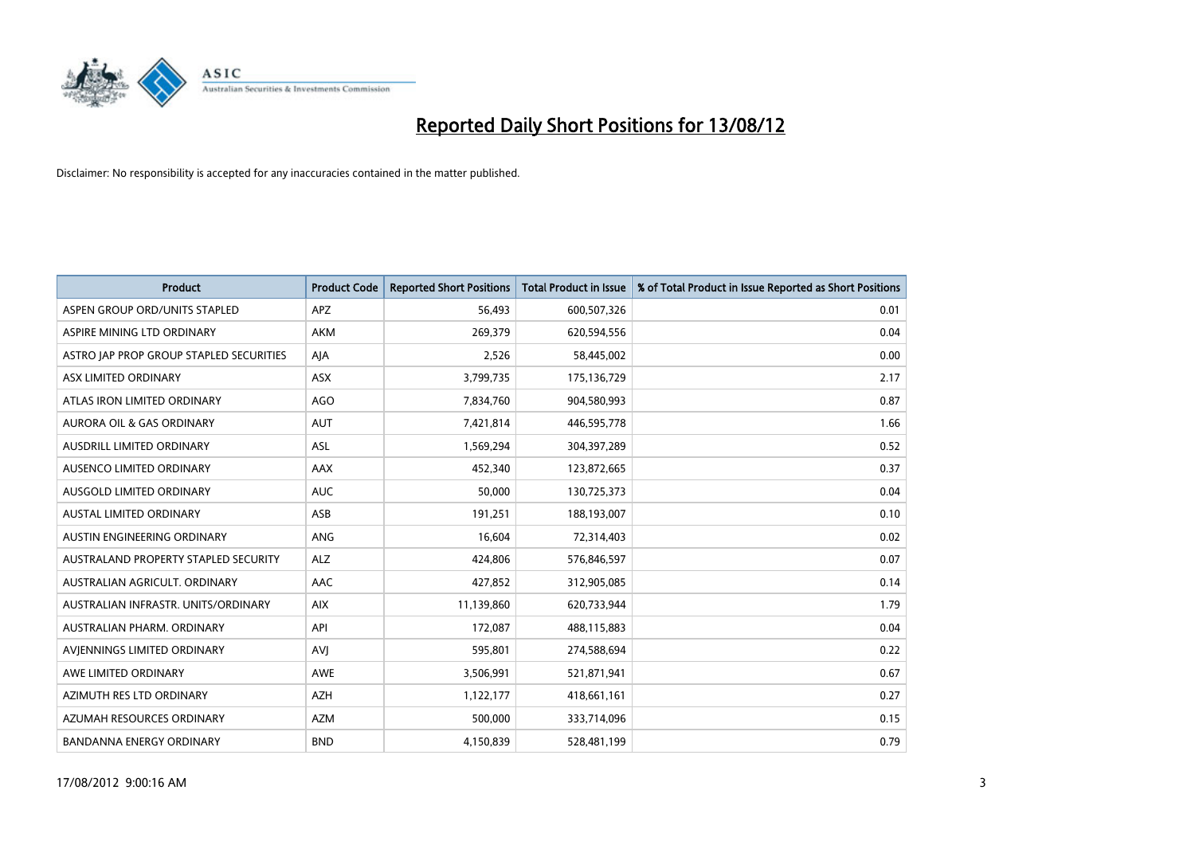

| <b>Product</b>                          | <b>Product Code</b> | <b>Reported Short Positions</b> | <b>Total Product in Issue</b> | % of Total Product in Issue Reported as Short Positions |
|-----------------------------------------|---------------------|---------------------------------|-------------------------------|---------------------------------------------------------|
| ASPEN GROUP ORD/UNITS STAPLED           | <b>APZ</b>          | 56,493                          | 600,507,326                   | 0.01                                                    |
| ASPIRE MINING LTD ORDINARY              | <b>AKM</b>          | 269,379                         | 620,594,556                   | 0.04                                                    |
| ASTRO JAP PROP GROUP STAPLED SECURITIES | AJA                 | 2,526                           | 58,445,002                    | 0.00                                                    |
| ASX LIMITED ORDINARY                    | <b>ASX</b>          | 3,799,735                       | 175,136,729                   | 2.17                                                    |
| ATLAS IRON LIMITED ORDINARY             | AGO                 | 7,834,760                       | 904,580,993                   | 0.87                                                    |
| <b>AURORA OIL &amp; GAS ORDINARY</b>    | <b>AUT</b>          | 7,421,814                       | 446,595,778                   | 1.66                                                    |
| AUSDRILL LIMITED ORDINARY               | <b>ASL</b>          | 1,569,294                       | 304,397,289                   | 0.52                                                    |
| AUSENCO LIMITED ORDINARY                | AAX                 | 452,340                         | 123,872,665                   | 0.37                                                    |
| AUSGOLD LIMITED ORDINARY                | <b>AUC</b>          | 50,000                          | 130,725,373                   | 0.04                                                    |
| <b>AUSTAL LIMITED ORDINARY</b>          | ASB                 | 191,251                         | 188,193,007                   | 0.10                                                    |
| AUSTIN ENGINEERING ORDINARY             | <b>ANG</b>          | 16,604                          | 72,314,403                    | 0.02                                                    |
| AUSTRALAND PROPERTY STAPLED SECURITY    | <b>ALZ</b>          | 424,806                         | 576,846,597                   | 0.07                                                    |
| AUSTRALIAN AGRICULT, ORDINARY           | <b>AAC</b>          | 427,852                         | 312,905,085                   | 0.14                                                    |
| AUSTRALIAN INFRASTR, UNITS/ORDINARY     | <b>AIX</b>          | 11,139,860                      | 620,733,944                   | 1.79                                                    |
| AUSTRALIAN PHARM. ORDINARY              | API                 | 172,087                         | 488,115,883                   | 0.04                                                    |
| AVIENNINGS LIMITED ORDINARY             | AVI                 | 595,801                         | 274,588,694                   | 0.22                                                    |
| AWE LIMITED ORDINARY                    | <b>AWE</b>          | 3,506,991                       | 521,871,941                   | 0.67                                                    |
| AZIMUTH RES LTD ORDINARY                | <b>AZH</b>          | 1,122,177                       | 418,661,161                   | 0.27                                                    |
| AZUMAH RESOURCES ORDINARY               | <b>AZM</b>          | 500,000                         | 333,714,096                   | 0.15                                                    |
| <b>BANDANNA ENERGY ORDINARY</b>         | <b>BND</b>          | 4,150,839                       | 528,481,199                   | 0.79                                                    |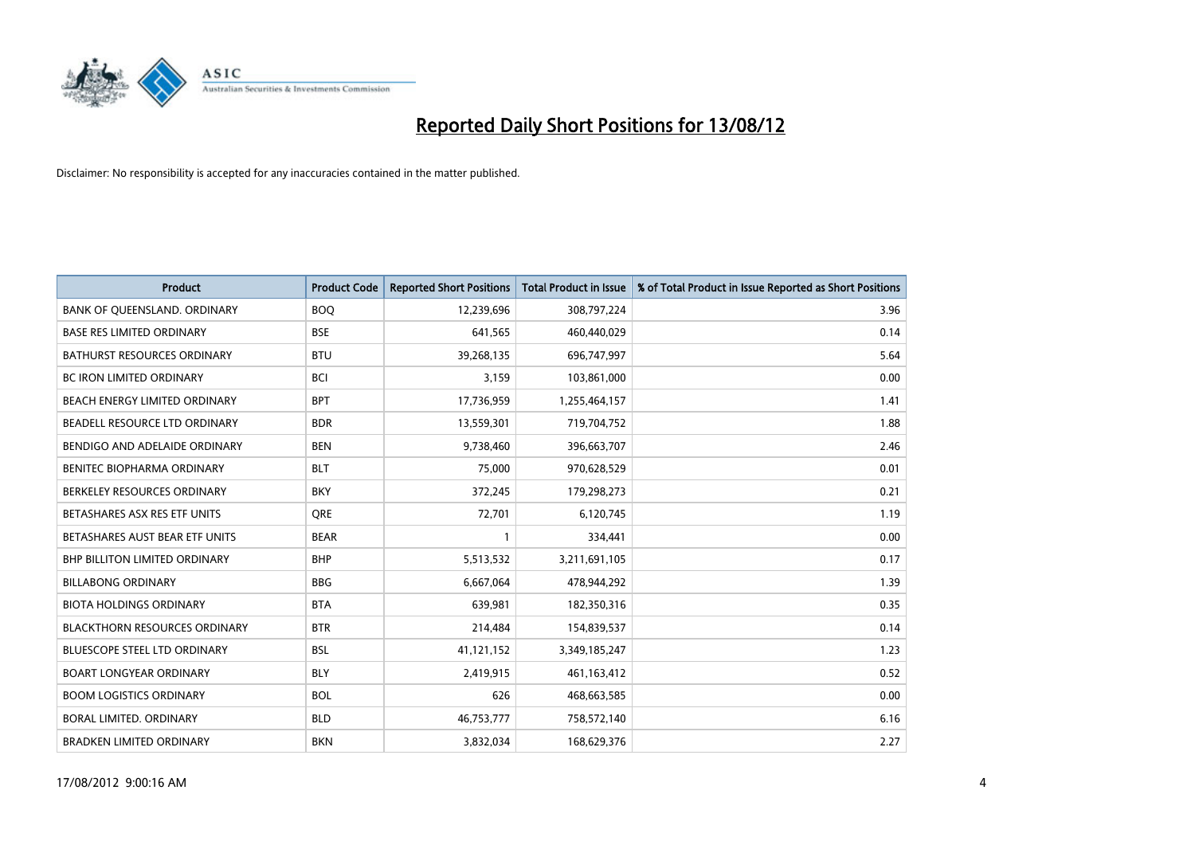

| <b>Product</b>                       | <b>Product Code</b> | <b>Reported Short Positions</b> | <b>Total Product in Issue</b> | % of Total Product in Issue Reported as Short Positions |
|--------------------------------------|---------------------|---------------------------------|-------------------------------|---------------------------------------------------------|
| BANK OF QUEENSLAND. ORDINARY         | <b>BOQ</b>          | 12,239,696                      | 308,797,224                   | 3.96                                                    |
| <b>BASE RES LIMITED ORDINARY</b>     | <b>BSE</b>          | 641,565                         | 460,440,029                   | 0.14                                                    |
| <b>BATHURST RESOURCES ORDINARY</b>   | <b>BTU</b>          | 39,268,135                      | 696,747,997                   | 5.64                                                    |
| <b>BC IRON LIMITED ORDINARY</b>      | <b>BCI</b>          | 3,159                           | 103,861,000                   | 0.00                                                    |
| BEACH ENERGY LIMITED ORDINARY        | <b>BPT</b>          | 17,736,959                      | 1,255,464,157                 | 1.41                                                    |
| BEADELL RESOURCE LTD ORDINARY        | <b>BDR</b>          | 13,559,301                      | 719,704,752                   | 1.88                                                    |
| BENDIGO AND ADELAIDE ORDINARY        | <b>BEN</b>          | 9,738,460                       | 396,663,707                   | 2.46                                                    |
| BENITEC BIOPHARMA ORDINARY           | <b>BLT</b>          | 75,000                          | 970,628,529                   | 0.01                                                    |
| BERKELEY RESOURCES ORDINARY          | <b>BKY</b>          | 372,245                         | 179,298,273                   | 0.21                                                    |
| BETASHARES ASX RES ETF UNITS         | <b>ORE</b>          | 72,701                          | 6,120,745                     | 1.19                                                    |
| BETASHARES AUST BEAR ETF UNITS       | <b>BEAR</b>         |                                 | 334,441                       | 0.00                                                    |
| <b>BHP BILLITON LIMITED ORDINARY</b> | <b>BHP</b>          | 5,513,532                       | 3,211,691,105                 | 0.17                                                    |
| <b>BILLABONG ORDINARY</b>            | <b>BBG</b>          | 6,667,064                       | 478,944,292                   | 1.39                                                    |
| <b>BIOTA HOLDINGS ORDINARY</b>       | <b>BTA</b>          | 639,981                         | 182,350,316                   | 0.35                                                    |
| <b>BLACKTHORN RESOURCES ORDINARY</b> | <b>BTR</b>          | 214,484                         | 154,839,537                   | 0.14                                                    |
| <b>BLUESCOPE STEEL LTD ORDINARY</b>  | <b>BSL</b>          | 41,121,152                      | 3,349,185,247                 | 1.23                                                    |
| <b>BOART LONGYEAR ORDINARY</b>       | <b>BLY</b>          | 2,419,915                       | 461,163,412                   | 0.52                                                    |
| <b>BOOM LOGISTICS ORDINARY</b>       | <b>BOL</b>          | 626                             | 468,663,585                   | 0.00                                                    |
| <b>BORAL LIMITED, ORDINARY</b>       | <b>BLD</b>          | 46,753,777                      | 758,572,140                   | 6.16                                                    |
| <b>BRADKEN LIMITED ORDINARY</b>      | <b>BKN</b>          | 3,832,034                       | 168,629,376                   | 2.27                                                    |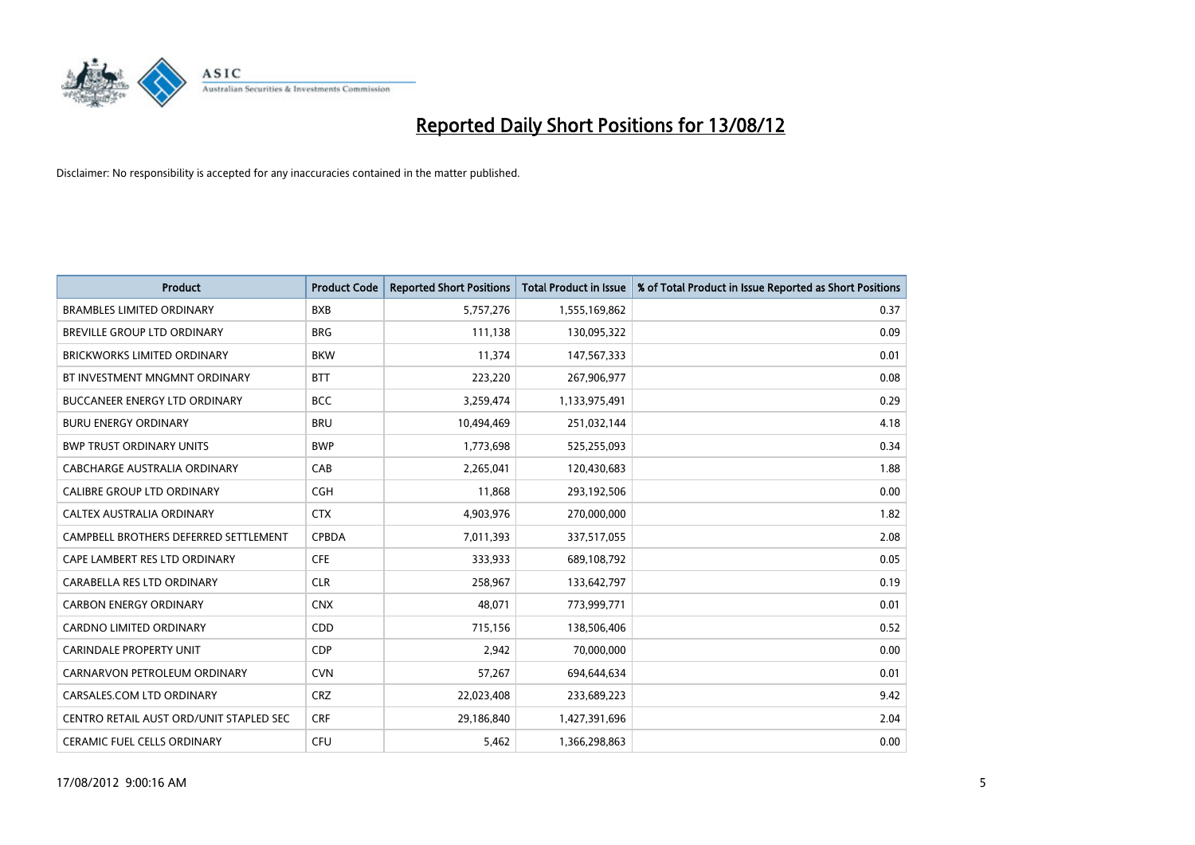

| <b>Product</b>                          | <b>Product Code</b> | <b>Reported Short Positions</b> | <b>Total Product in Issue</b> | % of Total Product in Issue Reported as Short Positions |
|-----------------------------------------|---------------------|---------------------------------|-------------------------------|---------------------------------------------------------|
| <b>BRAMBLES LIMITED ORDINARY</b>        | <b>BXB</b>          | 5,757,276                       | 1,555,169,862                 | 0.37                                                    |
| BREVILLE GROUP LTD ORDINARY             | <b>BRG</b>          | 111,138                         | 130,095,322                   | 0.09                                                    |
| <b>BRICKWORKS LIMITED ORDINARY</b>      | <b>BKW</b>          | 11,374                          | 147,567,333                   | 0.01                                                    |
| BT INVESTMENT MNGMNT ORDINARY           | <b>BTT</b>          | 223,220                         | 267,906,977                   | 0.08                                                    |
| <b>BUCCANEER ENERGY LTD ORDINARY</b>    | <b>BCC</b>          | 3,259,474                       | 1,133,975,491                 | 0.29                                                    |
| <b>BURU ENERGY ORDINARY</b>             | <b>BRU</b>          | 10,494,469                      | 251,032,144                   | 4.18                                                    |
| <b>BWP TRUST ORDINARY UNITS</b>         | <b>BWP</b>          | 1,773,698                       | 525,255,093                   | 0.34                                                    |
| CABCHARGE AUSTRALIA ORDINARY            | CAB                 | 2,265,041                       | 120,430,683                   | 1.88                                                    |
| CALIBRE GROUP LTD ORDINARY              | <b>CGH</b>          | 11,868                          | 293,192,506                   | 0.00                                                    |
| CALTEX AUSTRALIA ORDINARY               | <b>CTX</b>          | 4,903,976                       | 270,000,000                   | 1.82                                                    |
| CAMPBELL BROTHERS DEFERRED SETTLEMENT   | <b>CPBDA</b>        | 7,011,393                       | 337,517,055                   | 2.08                                                    |
| CAPE LAMBERT RES LTD ORDINARY           | <b>CFE</b>          | 333,933                         | 689,108,792                   | 0.05                                                    |
| CARABELLA RES LTD ORDINARY              | <b>CLR</b>          | 258,967                         | 133,642,797                   | 0.19                                                    |
| <b>CARBON ENERGY ORDINARY</b>           | <b>CNX</b>          | 48,071                          | 773,999,771                   | 0.01                                                    |
| <b>CARDNO LIMITED ORDINARY</b>          | CD <sub>D</sub>     | 715,156                         | 138,506,406                   | 0.52                                                    |
| <b>CARINDALE PROPERTY UNIT</b>          | <b>CDP</b>          | 2,942                           | 70,000,000                    | 0.00                                                    |
| CARNARVON PETROLEUM ORDINARY            | <b>CVN</b>          | 57,267                          | 694,644,634                   | 0.01                                                    |
| CARSALES.COM LTD ORDINARY               | CRZ                 | 22,023,408                      | 233,689,223                   | 9.42                                                    |
| CENTRO RETAIL AUST ORD/UNIT STAPLED SEC | <b>CRF</b>          | 29,186,840                      | 1,427,391,696                 | 2.04                                                    |
| <b>CERAMIC FUEL CELLS ORDINARY</b>      | <b>CFU</b>          | 5.462                           | 1,366,298,863                 | 0.00                                                    |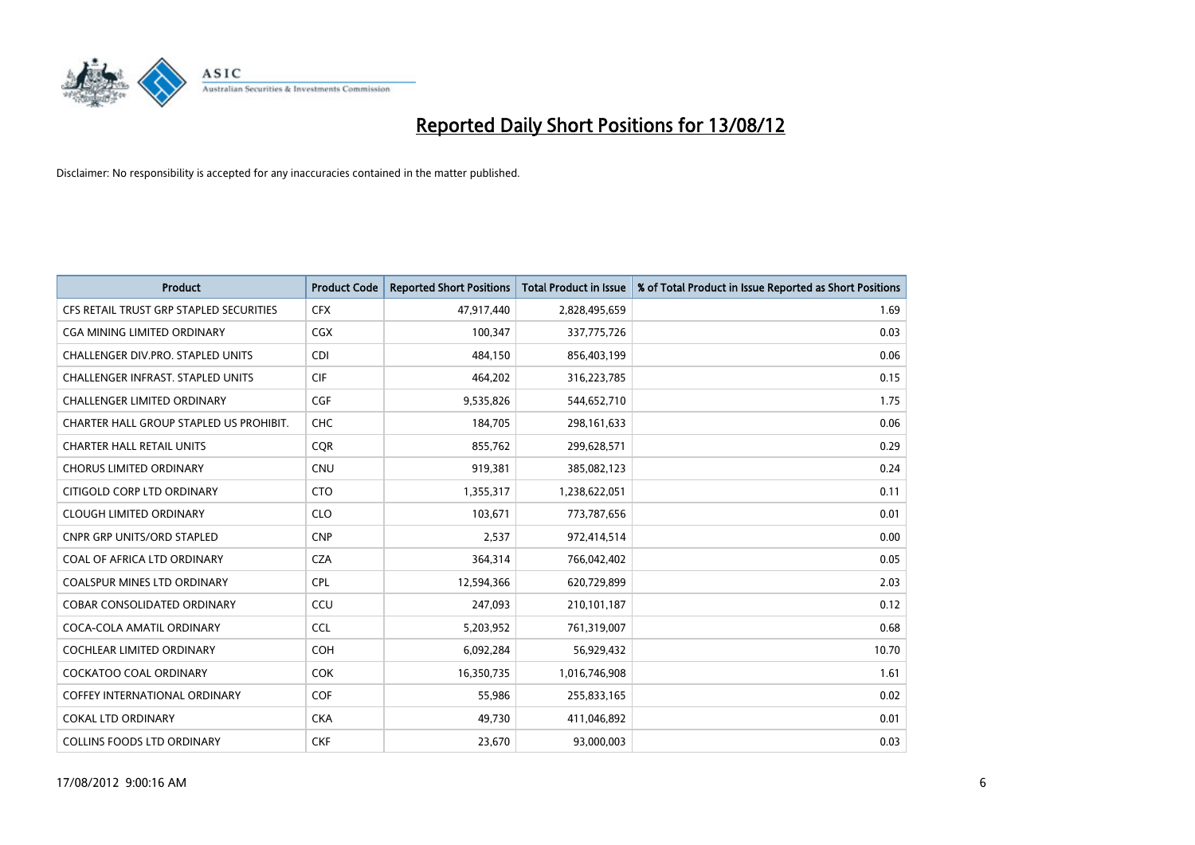

| <b>Product</b>                           | <b>Product Code</b> | <b>Reported Short Positions</b> | <b>Total Product in Issue</b> | % of Total Product in Issue Reported as Short Positions |
|------------------------------------------|---------------------|---------------------------------|-------------------------------|---------------------------------------------------------|
| CFS RETAIL TRUST GRP STAPLED SECURITIES  | <b>CFX</b>          | 47,917,440                      | 2,828,495,659                 | 1.69                                                    |
| CGA MINING LIMITED ORDINARY              | <b>CGX</b>          | 100,347                         | 337,775,726                   | 0.03                                                    |
| <b>CHALLENGER DIV.PRO. STAPLED UNITS</b> | <b>CDI</b>          | 484,150                         | 856,403,199                   | 0.06                                                    |
| CHALLENGER INFRAST. STAPLED UNITS        | <b>CIF</b>          | 464,202                         | 316,223,785                   | 0.15                                                    |
| <b>CHALLENGER LIMITED ORDINARY</b>       | <b>CGF</b>          | 9,535,826                       | 544,652,710                   | 1.75                                                    |
| CHARTER HALL GROUP STAPLED US PROHIBIT.  | <b>CHC</b>          | 184,705                         | 298,161,633                   | 0.06                                                    |
| <b>CHARTER HALL RETAIL UNITS</b>         | <b>COR</b>          | 855,762                         | 299,628,571                   | 0.29                                                    |
| <b>CHORUS LIMITED ORDINARY</b>           | <b>CNU</b>          | 919,381                         | 385,082,123                   | 0.24                                                    |
| CITIGOLD CORP LTD ORDINARY               | <b>CTO</b>          | 1,355,317                       | 1,238,622,051                 | 0.11                                                    |
| <b>CLOUGH LIMITED ORDINARY</b>           | <b>CLO</b>          | 103,671                         | 773,787,656                   | 0.01                                                    |
| CNPR GRP UNITS/ORD STAPLED               | <b>CNP</b>          | 2,537                           | 972,414,514                   | 0.00                                                    |
| COAL OF AFRICA LTD ORDINARY              | <b>CZA</b>          | 364,314                         | 766,042,402                   | 0.05                                                    |
| COALSPUR MINES LTD ORDINARY              | <b>CPL</b>          | 12,594,366                      | 620,729,899                   | 2.03                                                    |
| COBAR CONSOLIDATED ORDINARY              | CCU                 | 247,093                         | 210,101,187                   | 0.12                                                    |
| COCA-COLA AMATIL ORDINARY                | <b>CCL</b>          | 5,203,952                       | 761,319,007                   | 0.68                                                    |
| COCHLEAR LIMITED ORDINARY                | <b>COH</b>          | 6,092,284                       | 56,929,432                    | 10.70                                                   |
| COCKATOO COAL ORDINARY                   | <b>COK</b>          | 16,350,735                      | 1,016,746,908                 | 1.61                                                    |
| COFFEY INTERNATIONAL ORDINARY            | <b>COF</b>          | 55,986                          | 255,833,165                   | 0.02                                                    |
| <b>COKAL LTD ORDINARY</b>                | <b>CKA</b>          | 49,730                          | 411,046,892                   | 0.01                                                    |
| <b>COLLINS FOODS LTD ORDINARY</b>        | <b>CKF</b>          | 23,670                          | 93,000,003                    | 0.03                                                    |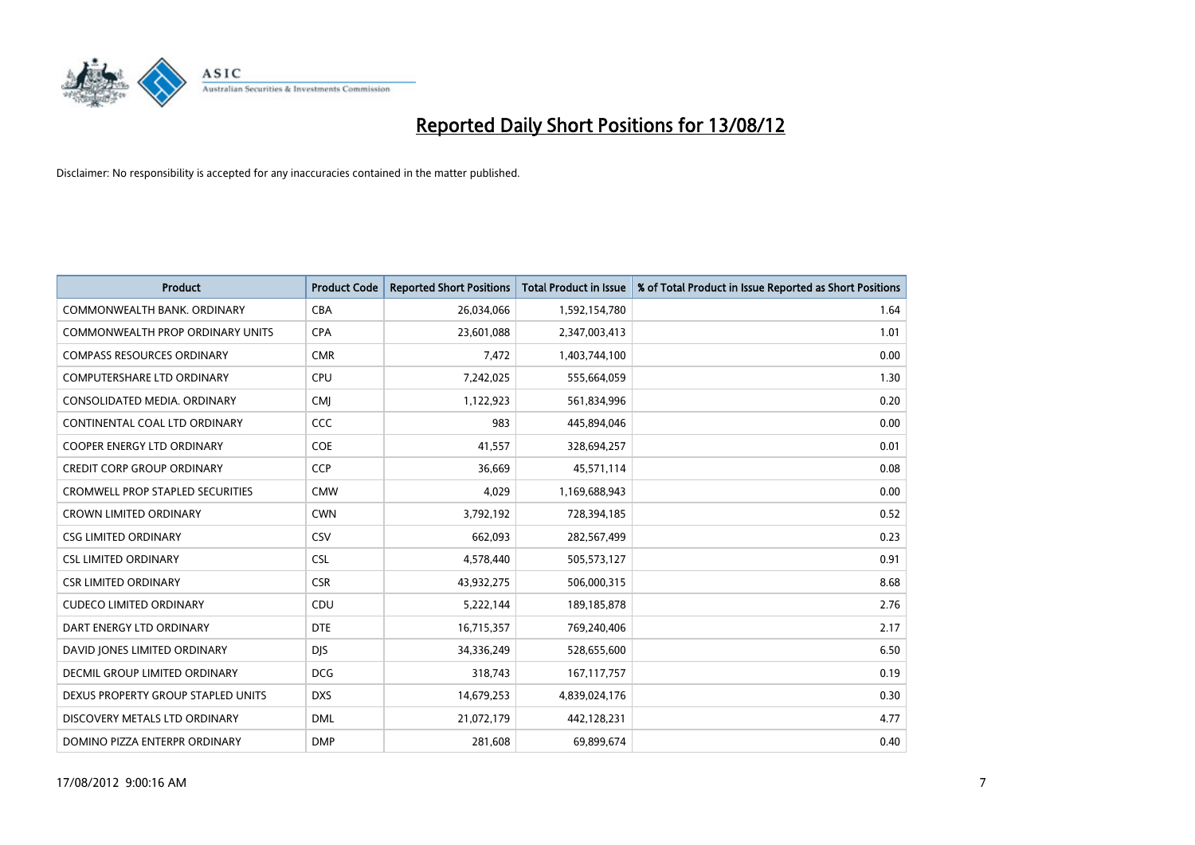

| <b>Product</b>                          | <b>Product Code</b> | <b>Reported Short Positions</b> | <b>Total Product in Issue</b> | % of Total Product in Issue Reported as Short Positions |
|-----------------------------------------|---------------------|---------------------------------|-------------------------------|---------------------------------------------------------|
| COMMONWEALTH BANK, ORDINARY             | <b>CBA</b>          | 26,034,066                      | 1,592,154,780                 | 1.64                                                    |
| <b>COMMONWEALTH PROP ORDINARY UNITS</b> | <b>CPA</b>          | 23,601,088                      | 2,347,003,413                 | 1.01                                                    |
| <b>COMPASS RESOURCES ORDINARY</b>       | <b>CMR</b>          | 7,472                           | 1,403,744,100                 | 0.00                                                    |
| COMPUTERSHARE LTD ORDINARY              | <b>CPU</b>          | 7,242,025                       | 555,664,059                   | 1.30                                                    |
| CONSOLIDATED MEDIA, ORDINARY            | <b>CMI</b>          | 1,122,923                       | 561,834,996                   | 0.20                                                    |
| CONTINENTAL COAL LTD ORDINARY           | <b>CCC</b>          | 983                             | 445,894,046                   | 0.00                                                    |
| <b>COOPER ENERGY LTD ORDINARY</b>       | <b>COE</b>          | 41,557                          | 328,694,257                   | 0.01                                                    |
| <b>CREDIT CORP GROUP ORDINARY</b>       | <b>CCP</b>          | 36,669                          | 45,571,114                    | 0.08                                                    |
| <b>CROMWELL PROP STAPLED SECURITIES</b> | <b>CMW</b>          | 4,029                           | 1,169,688,943                 | 0.00                                                    |
| <b>CROWN LIMITED ORDINARY</b>           | <b>CWN</b>          | 3,792,192                       | 728,394,185                   | 0.52                                                    |
| <b>CSG LIMITED ORDINARY</b>             | CSV                 | 662,093                         | 282,567,499                   | 0.23                                                    |
| <b>CSL LIMITED ORDINARY</b>             | <b>CSL</b>          | 4,578,440                       | 505,573,127                   | 0.91                                                    |
| <b>CSR LIMITED ORDINARY</b>             | <b>CSR</b>          | 43,932,275                      | 506,000,315                   | 8.68                                                    |
| <b>CUDECO LIMITED ORDINARY</b>          | CDU                 | 5,222,144                       | 189, 185, 878                 | 2.76                                                    |
| DART ENERGY LTD ORDINARY                | <b>DTE</b>          | 16,715,357                      | 769,240,406                   | 2.17                                                    |
| DAVID JONES LIMITED ORDINARY            | <b>DIS</b>          | 34,336,249                      | 528,655,600                   | 6.50                                                    |
| <b>DECMIL GROUP LIMITED ORDINARY</b>    | <b>DCG</b>          | 318,743                         | 167, 117, 757                 | 0.19                                                    |
| DEXUS PROPERTY GROUP STAPLED UNITS      | <b>DXS</b>          | 14,679,253                      | 4,839,024,176                 | 0.30                                                    |
| DISCOVERY METALS LTD ORDINARY           | <b>DML</b>          | 21,072,179                      | 442,128,231                   | 4.77                                                    |
| DOMINO PIZZA ENTERPR ORDINARY           | <b>DMP</b>          | 281.608                         | 69.899.674                    | 0.40                                                    |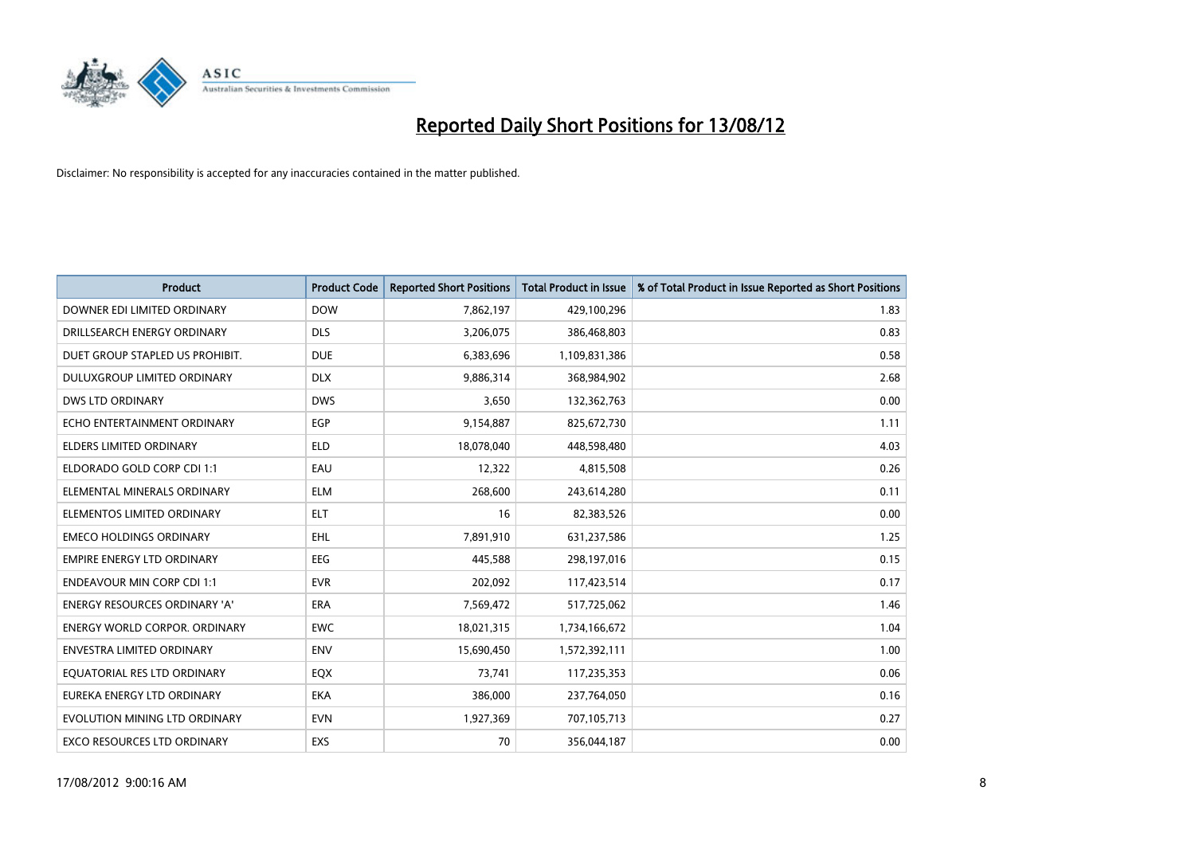

| <b>Product</b>                       | <b>Product Code</b> | <b>Reported Short Positions</b> | <b>Total Product in Issue</b> | % of Total Product in Issue Reported as Short Positions |
|--------------------------------------|---------------------|---------------------------------|-------------------------------|---------------------------------------------------------|
| DOWNER EDI LIMITED ORDINARY          | <b>DOW</b>          | 7,862,197                       | 429,100,296                   | 1.83                                                    |
| DRILLSEARCH ENERGY ORDINARY          | <b>DLS</b>          | 3,206,075                       | 386,468,803                   | 0.83                                                    |
| DUET GROUP STAPLED US PROHIBIT.      | <b>DUE</b>          | 6,383,696                       | 1,109,831,386                 | 0.58                                                    |
| DULUXGROUP LIMITED ORDINARY          | <b>DLX</b>          | 9,886,314                       | 368,984,902                   | 2.68                                                    |
| <b>DWS LTD ORDINARY</b>              | <b>DWS</b>          | 3,650                           | 132,362,763                   | 0.00                                                    |
| ECHO ENTERTAINMENT ORDINARY          | EGP                 | 9,154,887                       | 825,672,730                   | 1.11                                                    |
| ELDERS LIMITED ORDINARY              | <b>ELD</b>          | 18,078,040                      | 448,598,480                   | 4.03                                                    |
| ELDORADO GOLD CORP CDI 1:1           | EAU                 | 12,322                          | 4,815,508                     | 0.26                                                    |
| ELEMENTAL MINERALS ORDINARY          | <b>ELM</b>          | 268,600                         | 243,614,280                   | 0.11                                                    |
| ELEMENTOS LIMITED ORDINARY           | <b>ELT</b>          | 16                              | 82,383,526                    | 0.00                                                    |
| <b>EMECO HOLDINGS ORDINARY</b>       | <b>EHL</b>          | 7,891,910                       | 631,237,586                   | 1.25                                                    |
| <b>EMPIRE ENERGY LTD ORDINARY</b>    | <b>EEG</b>          | 445,588                         | 298,197,016                   | 0.15                                                    |
| <b>ENDEAVOUR MIN CORP CDI 1:1</b>    | <b>EVR</b>          | 202,092                         | 117,423,514                   | 0.17                                                    |
| <b>ENERGY RESOURCES ORDINARY 'A'</b> | <b>ERA</b>          | 7,569,472                       | 517,725,062                   | 1.46                                                    |
| <b>ENERGY WORLD CORPOR, ORDINARY</b> | <b>EWC</b>          | 18,021,315                      | 1,734,166,672                 | 1.04                                                    |
| ENVESTRA LIMITED ORDINARY            | <b>ENV</b>          | 15,690,450                      | 1,572,392,111                 | 1.00                                                    |
| EQUATORIAL RES LTD ORDINARY          | <b>EQX</b>          | 73,741                          | 117,235,353                   | 0.06                                                    |
| EUREKA ENERGY LTD ORDINARY           | <b>EKA</b>          | 386,000                         | 237,764,050                   | 0.16                                                    |
| EVOLUTION MINING LTD ORDINARY        | <b>EVN</b>          | 1,927,369                       | 707,105,713                   | 0.27                                                    |
| EXCO RESOURCES LTD ORDINARY          | <b>EXS</b>          | 70                              | 356,044,187                   | 0.00                                                    |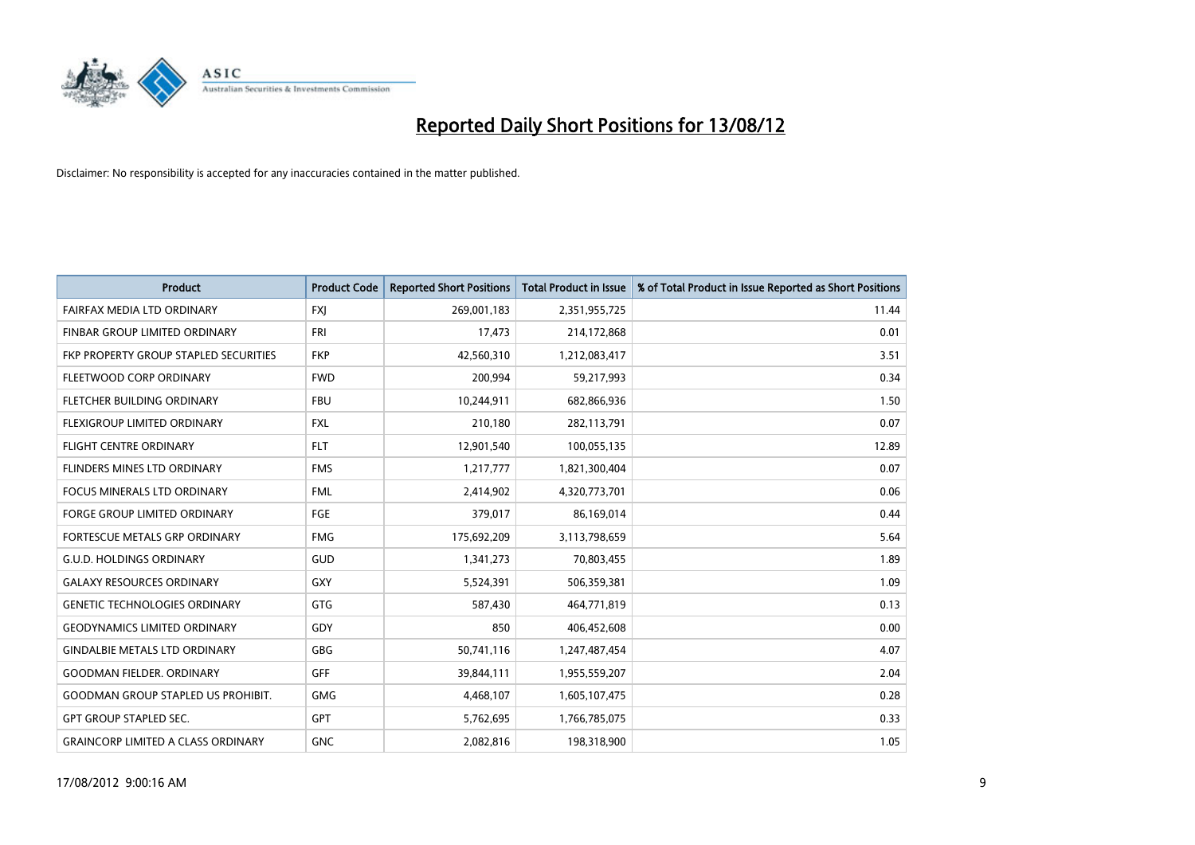

| <b>Product</b>                            | <b>Product Code</b> | <b>Reported Short Positions</b> | <b>Total Product in Issue</b> | % of Total Product in Issue Reported as Short Positions |
|-------------------------------------------|---------------------|---------------------------------|-------------------------------|---------------------------------------------------------|
| FAIRFAX MEDIA LTD ORDINARY                | <b>FXJ</b>          | 269,001,183                     | 2,351,955,725                 | 11.44                                                   |
| FINBAR GROUP LIMITED ORDINARY             | <b>FRI</b>          | 17,473                          | 214,172,868                   | 0.01                                                    |
| FKP PROPERTY GROUP STAPLED SECURITIES     | <b>FKP</b>          | 42,560,310                      | 1,212,083,417                 | 3.51                                                    |
| FLEETWOOD CORP ORDINARY                   | <b>FWD</b>          | 200,994                         | 59,217,993                    | 0.34                                                    |
| FLETCHER BUILDING ORDINARY                | <b>FBU</b>          | 10,244,911                      | 682,866,936                   | 1.50                                                    |
| <b>FLEXIGROUP LIMITED ORDINARY</b>        | <b>FXL</b>          | 210,180                         | 282,113,791                   | 0.07                                                    |
| <b>FLIGHT CENTRE ORDINARY</b>             | <b>FLT</b>          | 12,901,540                      | 100,055,135                   | 12.89                                                   |
| FLINDERS MINES LTD ORDINARY               | <b>FMS</b>          | 1,217,777                       | 1,821,300,404                 | 0.07                                                    |
| FOCUS MINERALS LTD ORDINARY               | <b>FML</b>          | 2,414,902                       | 4,320,773,701                 | 0.06                                                    |
| <b>FORGE GROUP LIMITED ORDINARY</b>       | FGE                 | 379,017                         | 86,169,014                    | 0.44                                                    |
| FORTESCUE METALS GRP ORDINARY             | <b>FMG</b>          | 175,692,209                     | 3,113,798,659                 | 5.64                                                    |
| <b>G.U.D. HOLDINGS ORDINARY</b>           | GUD                 | 1,341,273                       | 70,803,455                    | 1.89                                                    |
| <b>GALAXY RESOURCES ORDINARY</b>          | GXY                 | 5,524,391                       | 506,359,381                   | 1.09                                                    |
| <b>GENETIC TECHNOLOGIES ORDINARY</b>      | <b>GTG</b>          | 587,430                         | 464,771,819                   | 0.13                                                    |
| <b>GEODYNAMICS LIMITED ORDINARY</b>       | GDY                 | 850                             | 406,452,608                   | 0.00                                                    |
| <b>GINDALBIE METALS LTD ORDINARY</b>      | <b>GBG</b>          | 50,741,116                      | 1,247,487,454                 | 4.07                                                    |
| <b>GOODMAN FIELDER, ORDINARY</b>          | <b>GFF</b>          | 39,844,111                      | 1,955,559,207                 | 2.04                                                    |
| <b>GOODMAN GROUP STAPLED US PROHIBIT.</b> | <b>GMG</b>          | 4,468,107                       | 1,605,107,475                 | 0.28                                                    |
| <b>GPT GROUP STAPLED SEC.</b>             | <b>GPT</b>          | 5,762,695                       | 1,766,785,075                 | 0.33                                                    |
| <b>GRAINCORP LIMITED A CLASS ORDINARY</b> | <b>GNC</b>          | 2.082.816                       | 198,318,900                   | 1.05                                                    |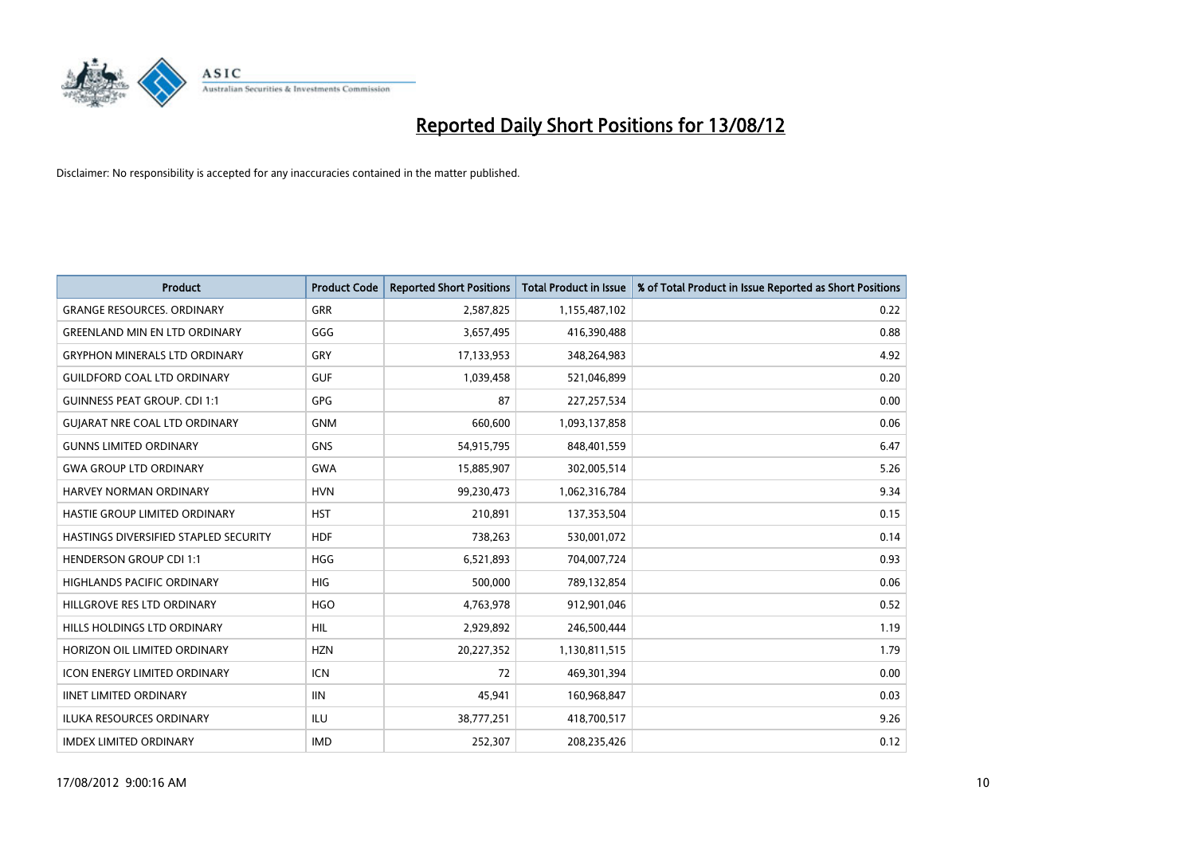

| <b>Product</b>                        | <b>Product Code</b> | <b>Reported Short Positions</b> | <b>Total Product in Issue</b> | % of Total Product in Issue Reported as Short Positions |
|---------------------------------------|---------------------|---------------------------------|-------------------------------|---------------------------------------------------------|
| <b>GRANGE RESOURCES, ORDINARY</b>     | <b>GRR</b>          | 2,587,825                       | 1,155,487,102                 | 0.22                                                    |
| <b>GREENLAND MIN EN LTD ORDINARY</b>  | GGG                 | 3,657,495                       | 416,390,488                   | 0.88                                                    |
| <b>GRYPHON MINERALS LTD ORDINARY</b>  | GRY                 | 17,133,953                      | 348,264,983                   | 4.92                                                    |
| <b>GUILDFORD COAL LTD ORDINARY</b>    | <b>GUF</b>          | 1,039,458                       | 521,046,899                   | 0.20                                                    |
| <b>GUINNESS PEAT GROUP. CDI 1:1</b>   | <b>GPG</b>          | 87                              | 227, 257, 534                 | 0.00                                                    |
| <b>GUIARAT NRE COAL LTD ORDINARY</b>  | <b>GNM</b>          | 660,600                         | 1,093,137,858                 | 0.06                                                    |
| <b>GUNNS LIMITED ORDINARY</b>         | <b>GNS</b>          | 54,915,795                      | 848,401,559                   | 6.47                                                    |
| <b>GWA GROUP LTD ORDINARY</b>         | <b>GWA</b>          | 15,885,907                      | 302,005,514                   | 5.26                                                    |
| <b>HARVEY NORMAN ORDINARY</b>         | <b>HVN</b>          | 99,230,473                      | 1,062,316,784                 | 9.34                                                    |
| HASTIE GROUP LIMITED ORDINARY         | <b>HST</b>          | 210,891                         | 137,353,504                   | 0.15                                                    |
| HASTINGS DIVERSIFIED STAPLED SECURITY | <b>HDF</b>          | 738,263                         | 530,001,072                   | 0.14                                                    |
| <b>HENDERSON GROUP CDI 1:1</b>        | <b>HGG</b>          | 6,521,893                       | 704,007,724                   | 0.93                                                    |
| HIGHLANDS PACIFIC ORDINARY            | <b>HIG</b>          | 500,000                         | 789,132,854                   | 0.06                                                    |
| HILLGROVE RES LTD ORDINARY            | <b>HGO</b>          | 4,763,978                       | 912,901,046                   | 0.52                                                    |
| <b>HILLS HOLDINGS LTD ORDINARY</b>    | <b>HIL</b>          | 2,929,892                       | 246,500,444                   | 1.19                                                    |
| HORIZON OIL LIMITED ORDINARY          | <b>HZN</b>          | 20,227,352                      | 1,130,811,515                 | 1.79                                                    |
| ICON ENERGY LIMITED ORDINARY          | <b>ICN</b>          | 72                              | 469,301,394                   | 0.00                                                    |
| <b>IINET LIMITED ORDINARY</b>         | <b>IIN</b>          | 45,941                          | 160,968,847                   | 0.03                                                    |
| <b>ILUKA RESOURCES ORDINARY</b>       | ILU                 | 38,777,251                      | 418,700,517                   | 9.26                                                    |
| <b>IMDEX LIMITED ORDINARY</b>         | <b>IMD</b>          | 252,307                         | 208,235,426                   | 0.12                                                    |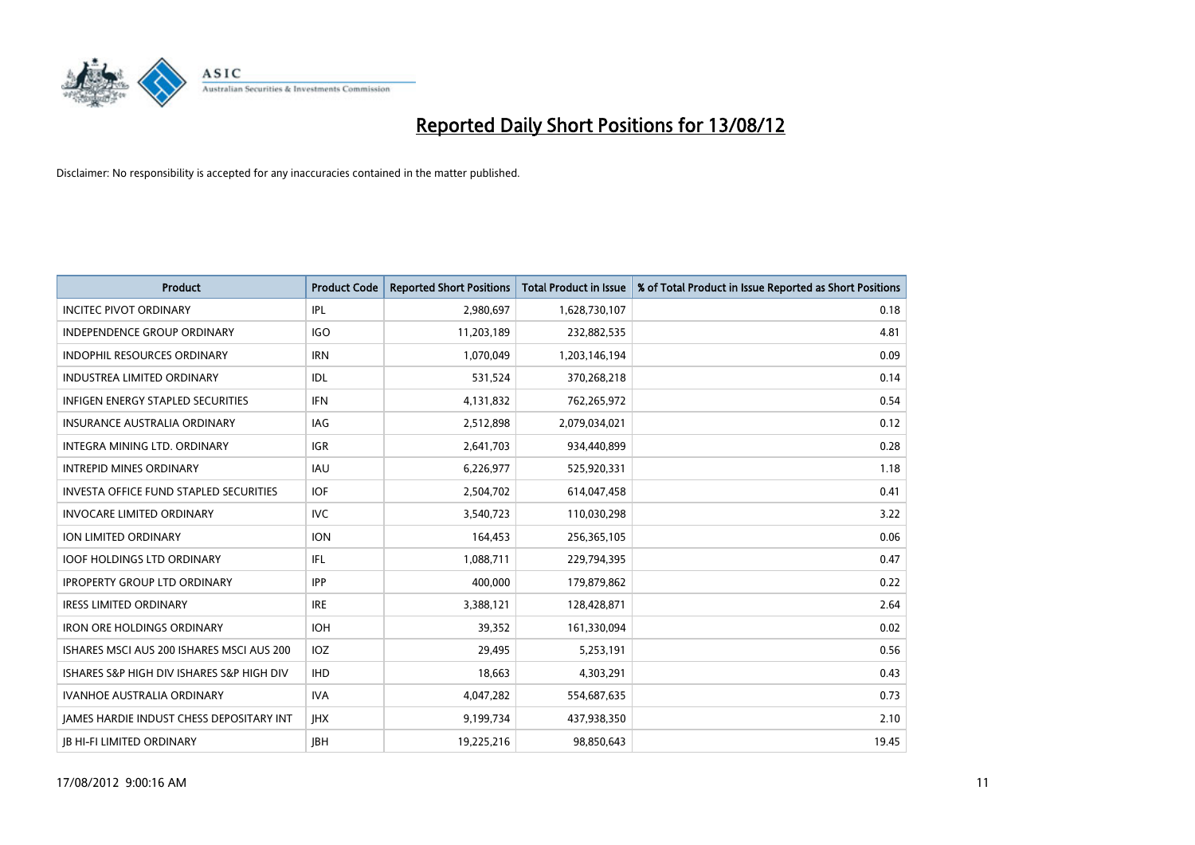

| <b>Product</b>                                  | <b>Product Code</b> | <b>Reported Short Positions</b> | <b>Total Product in Issue</b> | % of Total Product in Issue Reported as Short Positions |
|-------------------------------------------------|---------------------|---------------------------------|-------------------------------|---------------------------------------------------------|
| <b>INCITEC PIVOT ORDINARY</b>                   | IPL                 | 2,980,697                       | 1,628,730,107                 | 0.18                                                    |
| INDEPENDENCE GROUP ORDINARY                     | <b>IGO</b>          | 11,203,189                      | 232,882,535                   | 4.81                                                    |
| <b>INDOPHIL RESOURCES ORDINARY</b>              | <b>IRN</b>          | 1,070,049                       | 1,203,146,194                 | 0.09                                                    |
| INDUSTREA LIMITED ORDINARY                      | <b>IDL</b>          | 531,524                         | 370,268,218                   | 0.14                                                    |
| <b>INFIGEN ENERGY STAPLED SECURITIES</b>        | <b>IFN</b>          | 4,131,832                       | 762,265,972                   | 0.54                                                    |
| INSURANCE AUSTRALIA ORDINARY                    | IAG                 | 2,512,898                       | 2,079,034,021                 | 0.12                                                    |
| INTEGRA MINING LTD, ORDINARY                    | <b>IGR</b>          | 2,641,703                       | 934,440,899                   | 0.28                                                    |
| <b>INTREPID MINES ORDINARY</b>                  | <b>IAU</b>          | 6,226,977                       | 525,920,331                   | 1.18                                                    |
| <b>INVESTA OFFICE FUND STAPLED SECURITIES</b>   | <b>IOF</b>          | 2,504,702                       | 614,047,458                   | 0.41                                                    |
| <b>INVOCARE LIMITED ORDINARY</b>                | <b>IVC</b>          | 3,540,723                       | 110,030,298                   | 3.22                                                    |
| <b>ION LIMITED ORDINARY</b>                     | <b>ION</b>          | 164,453                         | 256,365,105                   | 0.06                                                    |
| <b>IOOF HOLDINGS LTD ORDINARY</b>               | IFL.                | 1,088,711                       | 229,794,395                   | 0.47                                                    |
| <b>IPROPERTY GROUP LTD ORDINARY</b>             | <b>IPP</b>          | 400,000                         | 179,879,862                   | 0.22                                                    |
| <b>IRESS LIMITED ORDINARY</b>                   | <b>IRE</b>          | 3,388,121                       | 128,428,871                   | 2.64                                                    |
| <b>IRON ORE HOLDINGS ORDINARY</b>               | <b>IOH</b>          | 39,352                          | 161,330,094                   | 0.02                                                    |
| ISHARES MSCI AUS 200 ISHARES MSCI AUS 200       | <b>IOZ</b>          | 29,495                          | 5,253,191                     | 0.56                                                    |
| ISHARES S&P HIGH DIV ISHARES S&P HIGH DIV       | <b>IHD</b>          | 18,663                          | 4,303,291                     | 0.43                                                    |
| <b>IVANHOE AUSTRALIA ORDINARY</b>               | <b>IVA</b>          | 4,047,282                       | 554,687,635                   | 0.73                                                    |
| <b>IAMES HARDIE INDUST CHESS DEPOSITARY INT</b> | <b>IHX</b>          | 9,199,734                       | 437,938,350                   | 2.10                                                    |
| <b>IB HI-FI LIMITED ORDINARY</b>                | <b>IBH</b>          | 19,225,216                      | 98,850,643                    | 19.45                                                   |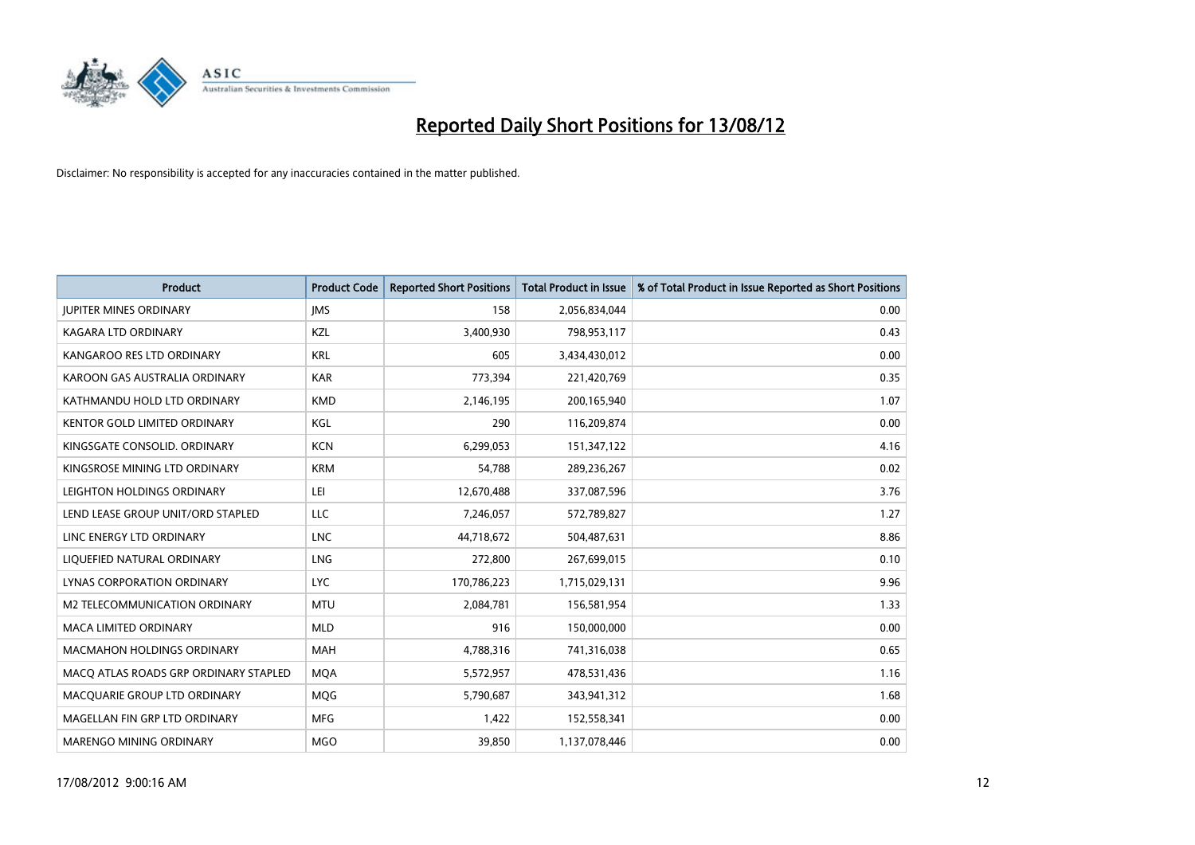

| <b>Product</b>                        | <b>Product Code</b> | <b>Reported Short Positions</b> | <b>Total Product in Issue</b> | % of Total Product in Issue Reported as Short Positions |
|---------------------------------------|---------------------|---------------------------------|-------------------------------|---------------------------------------------------------|
| <b>JUPITER MINES ORDINARY</b>         | <b>IMS</b>          | 158                             | 2,056,834,044                 | 0.00                                                    |
| KAGARA LTD ORDINARY                   | KZL                 | 3,400,930                       | 798,953,117                   | 0.43                                                    |
| KANGAROO RES LTD ORDINARY             | <b>KRL</b>          | 605                             | 3,434,430,012                 | 0.00                                                    |
| KAROON GAS AUSTRALIA ORDINARY         | <b>KAR</b>          | 773,394                         | 221,420,769                   | 0.35                                                    |
| KATHMANDU HOLD LTD ORDINARY           | <b>KMD</b>          | 2,146,195                       | 200,165,940                   | 1.07                                                    |
| <b>KENTOR GOLD LIMITED ORDINARY</b>   | KGL                 | 290                             | 116,209,874                   | 0.00                                                    |
| KINGSGATE CONSOLID, ORDINARY          | <b>KCN</b>          | 6,299,053                       | 151,347,122                   | 4.16                                                    |
| KINGSROSE MINING LTD ORDINARY         | <b>KRM</b>          | 54,788                          | 289,236,267                   | 0.02                                                    |
| LEIGHTON HOLDINGS ORDINARY            | LEI                 | 12,670,488                      | 337,087,596                   | 3.76                                                    |
| LEND LEASE GROUP UNIT/ORD STAPLED     | <b>LLC</b>          | 7,246,057                       | 572,789,827                   | 1.27                                                    |
| LINC ENERGY LTD ORDINARY              | <b>LNC</b>          | 44,718,672                      | 504,487,631                   | 8.86                                                    |
| LIQUEFIED NATURAL ORDINARY            | <b>LNG</b>          | 272,800                         | 267,699,015                   | 0.10                                                    |
| LYNAS CORPORATION ORDINARY            | <b>LYC</b>          | 170,786,223                     | 1,715,029,131                 | 9.96                                                    |
| M2 TELECOMMUNICATION ORDINARY         | <b>MTU</b>          | 2,084,781                       | 156,581,954                   | 1.33                                                    |
| <b>MACA LIMITED ORDINARY</b>          | <b>MLD</b>          | 916                             | 150,000,000                   | 0.00                                                    |
| MACMAHON HOLDINGS ORDINARY            | <b>MAH</b>          | 4,788,316                       | 741,316,038                   | 0.65                                                    |
| MACQ ATLAS ROADS GRP ORDINARY STAPLED | <b>MQA</b>          | 5,572,957                       | 478,531,436                   | 1.16                                                    |
| MACQUARIE GROUP LTD ORDINARY          | <b>MQG</b>          | 5,790,687                       | 343,941,312                   | 1.68                                                    |
| MAGELLAN FIN GRP LTD ORDINARY         | <b>MFG</b>          | 1,422                           | 152,558,341                   | 0.00                                                    |
| <b>MARENGO MINING ORDINARY</b>        | <b>MGO</b>          | 39.850                          | 1,137,078,446                 | 0.00                                                    |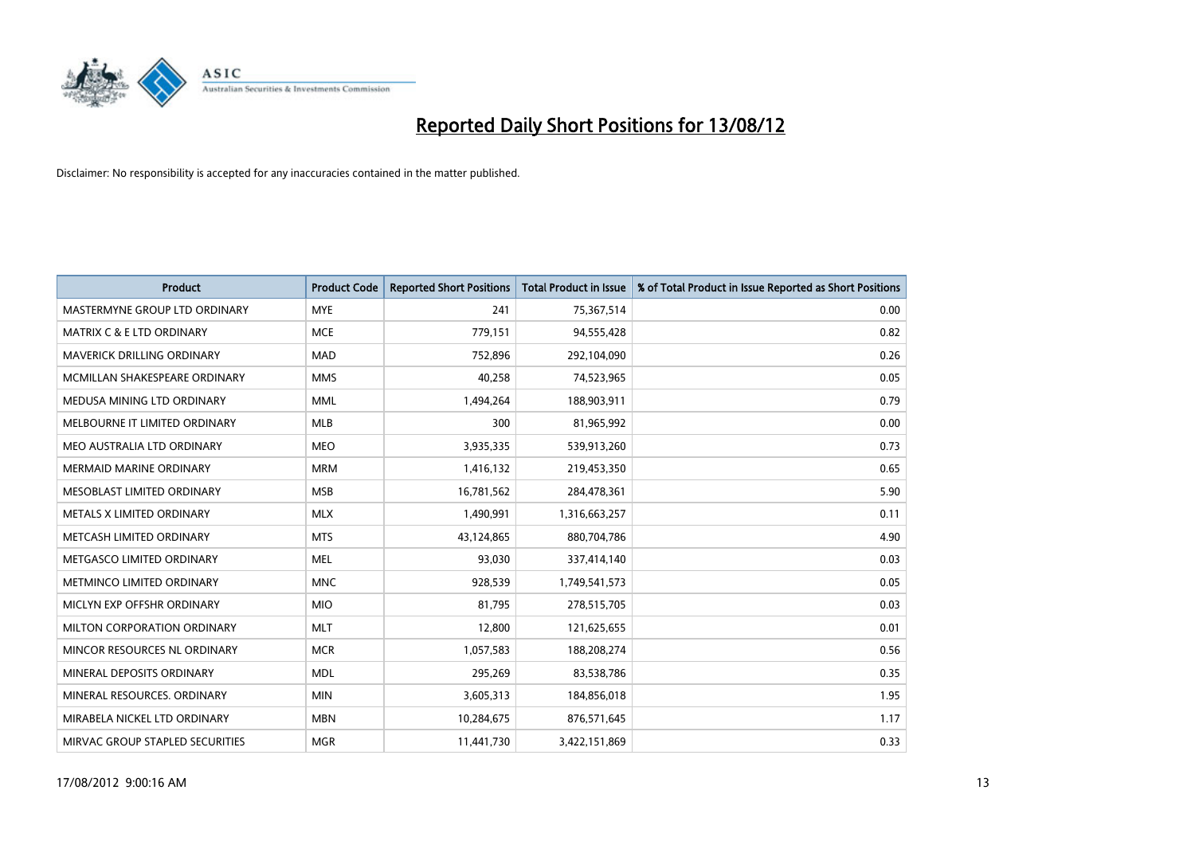

| <b>Product</b>                       | <b>Product Code</b> | <b>Reported Short Positions</b> | <b>Total Product in Issue</b> | % of Total Product in Issue Reported as Short Positions |
|--------------------------------------|---------------------|---------------------------------|-------------------------------|---------------------------------------------------------|
| MASTERMYNE GROUP LTD ORDINARY        | <b>MYE</b>          | 241                             | 75,367,514                    | 0.00                                                    |
| <b>MATRIX C &amp; E LTD ORDINARY</b> | <b>MCE</b>          | 779,151                         | 94,555,428                    | 0.82                                                    |
| <b>MAVERICK DRILLING ORDINARY</b>    | <b>MAD</b>          | 752,896                         | 292,104,090                   | 0.26                                                    |
| MCMILLAN SHAKESPEARE ORDINARY        | <b>MMS</b>          | 40,258                          | 74,523,965                    | 0.05                                                    |
| MEDUSA MINING LTD ORDINARY           | <b>MML</b>          | 1,494,264                       | 188,903,911                   | 0.79                                                    |
| MELBOURNE IT LIMITED ORDINARY        | <b>MLB</b>          | 300                             | 81,965,992                    | 0.00                                                    |
| MEO AUSTRALIA LTD ORDINARY           | <b>MEO</b>          | 3,935,335                       | 539,913,260                   | 0.73                                                    |
| MERMAID MARINE ORDINARY              | <b>MRM</b>          | 1,416,132                       | 219,453,350                   | 0.65                                                    |
| MESOBLAST LIMITED ORDINARY           | <b>MSB</b>          | 16,781,562                      | 284,478,361                   | 5.90                                                    |
| METALS X LIMITED ORDINARY            | <b>MLX</b>          | 1,490,991                       | 1,316,663,257                 | 0.11                                                    |
| METCASH LIMITED ORDINARY             | <b>MTS</b>          | 43,124,865                      | 880,704,786                   | 4.90                                                    |
| METGASCO LIMITED ORDINARY            | <b>MEL</b>          | 93,030                          | 337,414,140                   | 0.03                                                    |
| METMINCO LIMITED ORDINARY            | <b>MNC</b>          | 928,539                         | 1,749,541,573                 | 0.05                                                    |
| MICLYN EXP OFFSHR ORDINARY           | <b>MIO</b>          | 81,795                          | 278,515,705                   | 0.03                                                    |
| MILTON CORPORATION ORDINARY          | <b>MLT</b>          | 12,800                          | 121,625,655                   | 0.01                                                    |
| MINCOR RESOURCES NL ORDINARY         | <b>MCR</b>          | 1,057,583                       | 188,208,274                   | 0.56                                                    |
| MINERAL DEPOSITS ORDINARY            | <b>MDL</b>          | 295,269                         | 83,538,786                    | 0.35                                                    |
| MINERAL RESOURCES. ORDINARY          | <b>MIN</b>          | 3,605,313                       | 184,856,018                   | 1.95                                                    |
| MIRABELA NICKEL LTD ORDINARY         | <b>MBN</b>          | 10,284,675                      | 876,571,645                   | 1.17                                                    |
| MIRVAC GROUP STAPLED SECURITIES      | <b>MGR</b>          | 11,441,730                      | 3,422,151,869                 | 0.33                                                    |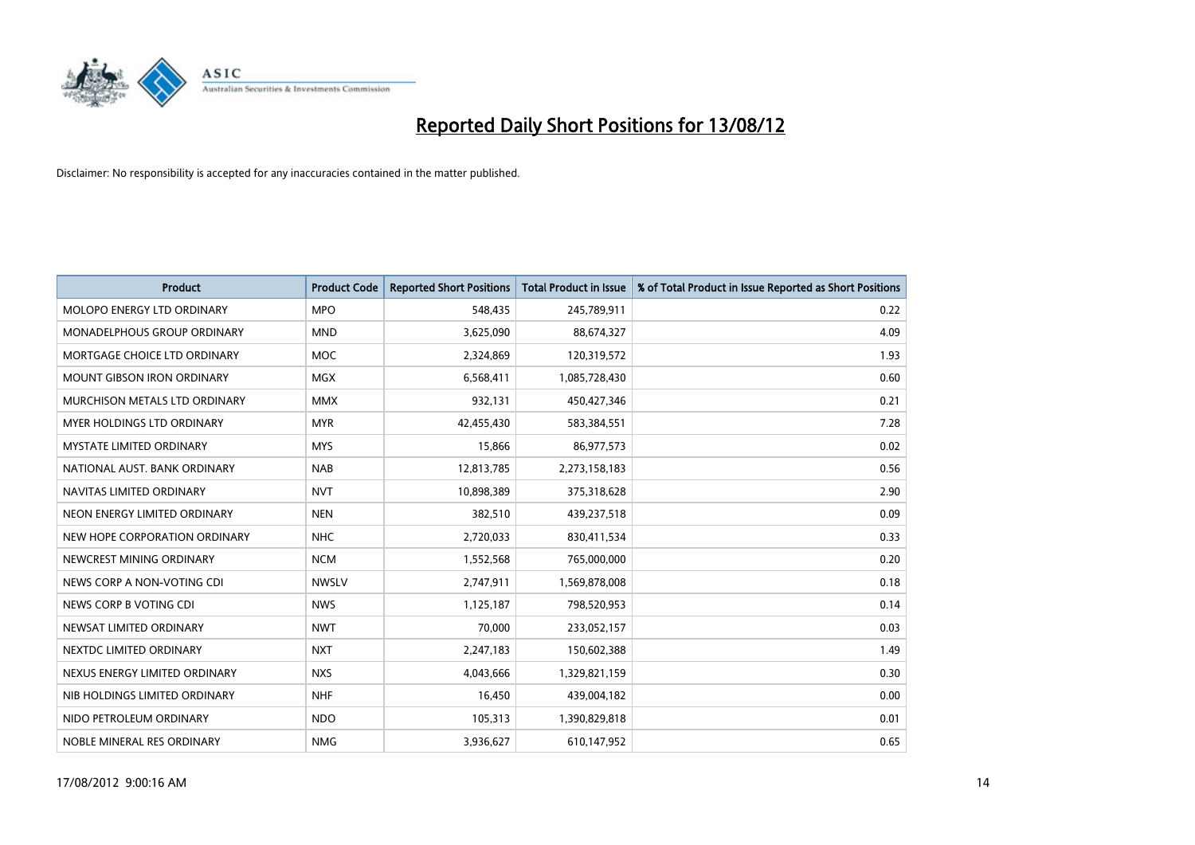

| <b>Product</b>                       | <b>Product Code</b> | <b>Reported Short Positions</b> | <b>Total Product in Issue</b> | % of Total Product in Issue Reported as Short Positions |
|--------------------------------------|---------------------|---------------------------------|-------------------------------|---------------------------------------------------------|
| MOLOPO ENERGY LTD ORDINARY           | <b>MPO</b>          | 548,435                         | 245,789,911                   | 0.22                                                    |
| MONADELPHOUS GROUP ORDINARY          | <b>MND</b>          | 3,625,090                       | 88,674,327                    | 4.09                                                    |
| MORTGAGE CHOICE LTD ORDINARY         | <b>MOC</b>          | 2,324,869                       | 120,319,572                   | 1.93                                                    |
| MOUNT GIBSON IRON ORDINARY           | <b>MGX</b>          | 6,568,411                       | 1,085,728,430                 | 0.60                                                    |
| <b>MURCHISON METALS LTD ORDINARY</b> | <b>MMX</b>          | 932,131                         | 450,427,346                   | 0.21                                                    |
| <b>MYER HOLDINGS LTD ORDINARY</b>    | <b>MYR</b>          | 42,455,430                      | 583,384,551                   | 7.28                                                    |
| <b>MYSTATE LIMITED ORDINARY</b>      | <b>MYS</b>          | 15,866                          | 86,977,573                    | 0.02                                                    |
| NATIONAL AUST, BANK ORDINARY         | <b>NAB</b>          | 12,813,785                      | 2,273,158,183                 | 0.56                                                    |
| NAVITAS LIMITED ORDINARY             | <b>NVT</b>          | 10,898,389                      | 375,318,628                   | 2.90                                                    |
| NEON ENERGY LIMITED ORDINARY         | <b>NEN</b>          | 382,510                         | 439,237,518                   | 0.09                                                    |
| NEW HOPE CORPORATION ORDINARY        | <b>NHC</b>          | 2,720,033                       | 830,411,534                   | 0.33                                                    |
| NEWCREST MINING ORDINARY             | <b>NCM</b>          | 1,552,568                       | 765,000,000                   | 0.20                                                    |
| NEWS CORP A NON-VOTING CDI           | <b>NWSLV</b>        | 2,747,911                       | 1,569,878,008                 | 0.18                                                    |
| NEWS CORP B VOTING CDI               | <b>NWS</b>          | 1,125,187                       | 798,520,953                   | 0.14                                                    |
| NEWSAT LIMITED ORDINARY              | <b>NWT</b>          | 70,000                          | 233,052,157                   | 0.03                                                    |
| NEXTDC LIMITED ORDINARY              | <b>NXT</b>          | 2,247,183                       | 150,602,388                   | 1.49                                                    |
| NEXUS ENERGY LIMITED ORDINARY        | <b>NXS</b>          | 4,043,666                       | 1,329,821,159                 | 0.30                                                    |
| NIB HOLDINGS LIMITED ORDINARY        | <b>NHF</b>          | 16,450                          | 439,004,182                   | 0.00                                                    |
| NIDO PETROLEUM ORDINARY              | <b>NDO</b>          | 105,313                         | 1,390,829,818                 | 0.01                                                    |
| NOBLE MINERAL RES ORDINARY           | <b>NMG</b>          | 3,936,627                       | 610,147,952                   | 0.65                                                    |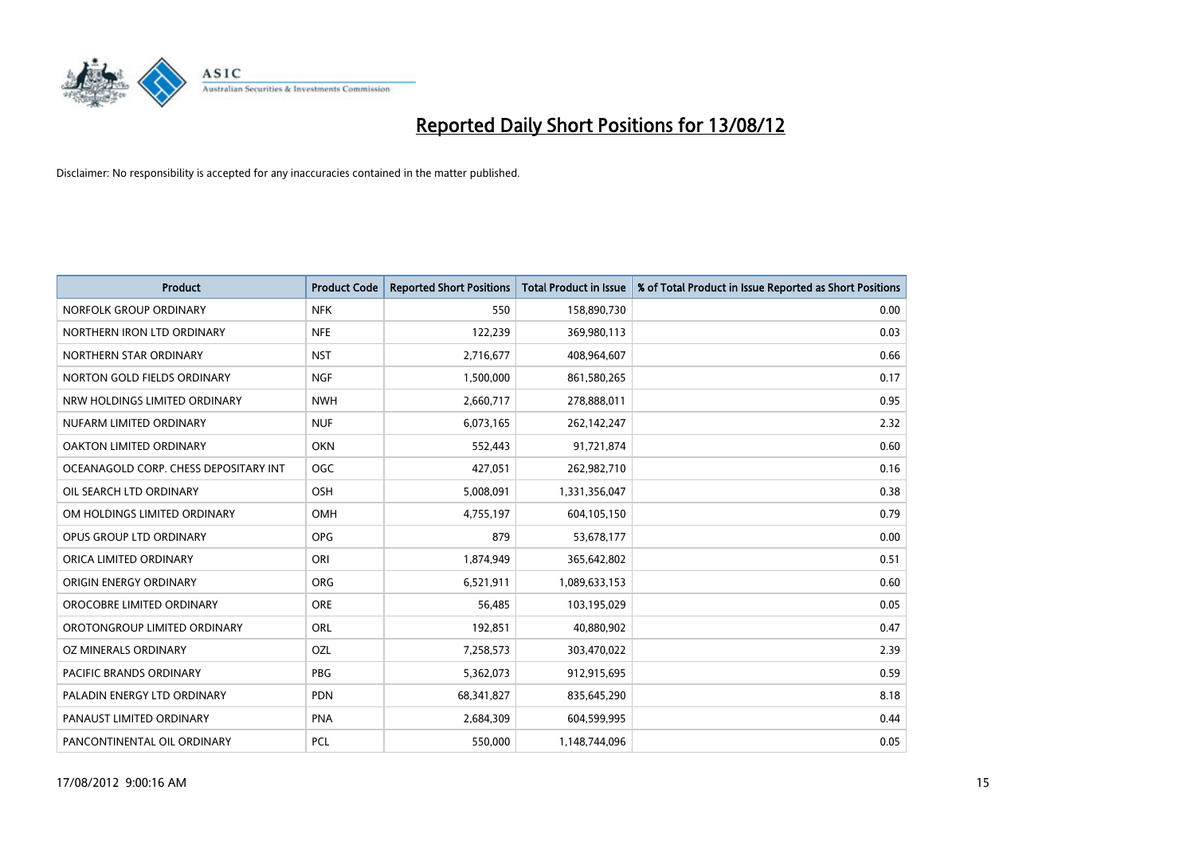

| <b>Product</b>                        | <b>Product Code</b> | <b>Reported Short Positions</b> | <b>Total Product in Issue</b> | % of Total Product in Issue Reported as Short Positions |
|---------------------------------------|---------------------|---------------------------------|-------------------------------|---------------------------------------------------------|
| NORFOLK GROUP ORDINARY                | <b>NFK</b>          | 550                             | 158,890,730                   | 0.00                                                    |
| NORTHERN IRON LTD ORDINARY            | <b>NFE</b>          | 122,239                         | 369,980,113                   | 0.03                                                    |
| NORTHERN STAR ORDINARY                | <b>NST</b>          | 2,716,677                       | 408,964,607                   | 0.66                                                    |
| NORTON GOLD FIELDS ORDINARY           | <b>NGF</b>          | 1,500,000                       | 861,580,265                   | 0.17                                                    |
| NRW HOLDINGS LIMITED ORDINARY         | <b>NWH</b>          | 2,660,717                       | 278,888,011                   | 0.95                                                    |
| NUFARM LIMITED ORDINARY               | <b>NUF</b>          | 6,073,165                       | 262,142,247                   | 2.32                                                    |
| <b>OAKTON LIMITED ORDINARY</b>        | <b>OKN</b>          | 552,443                         | 91,721,874                    | 0.60                                                    |
| OCEANAGOLD CORP. CHESS DEPOSITARY INT | <b>OGC</b>          | 427,051                         | 262,982,710                   | 0.16                                                    |
| OIL SEARCH LTD ORDINARY               | OSH                 | 5,008,091                       | 1,331,356,047                 | 0.38                                                    |
| OM HOLDINGS LIMITED ORDINARY          | <b>OMH</b>          | 4,755,197                       | 604,105,150                   | 0.79                                                    |
| OPUS GROUP LTD ORDINARY               | <b>OPG</b>          | 879                             | 53,678,177                    | 0.00                                                    |
| ORICA LIMITED ORDINARY                | ORI                 | 1,874,949                       | 365,642,802                   | 0.51                                                    |
| ORIGIN ENERGY ORDINARY                | <b>ORG</b>          | 6,521,911                       | 1,089,633,153                 | 0.60                                                    |
| OROCOBRE LIMITED ORDINARY             | <b>ORE</b>          | 56,485                          | 103,195,029                   | 0.05                                                    |
| OROTONGROUP LIMITED ORDINARY          | ORL                 | 192,851                         | 40,880,902                    | 0.47                                                    |
| OZ MINERALS ORDINARY                  | OZL                 | 7,258,573                       | 303,470,022                   | 2.39                                                    |
| PACIFIC BRANDS ORDINARY               | <b>PBG</b>          | 5,362,073                       | 912,915,695                   | 0.59                                                    |
| PALADIN ENERGY LTD ORDINARY           | <b>PDN</b>          | 68,341,827                      | 835,645,290                   | 8.18                                                    |
| PANAUST LIMITED ORDINARY              | PNA                 | 2,684,309                       | 604,599,995                   | 0.44                                                    |
| PANCONTINENTAL OIL ORDINARY           | PCL                 | 550,000                         | 1,148,744,096                 | 0.05                                                    |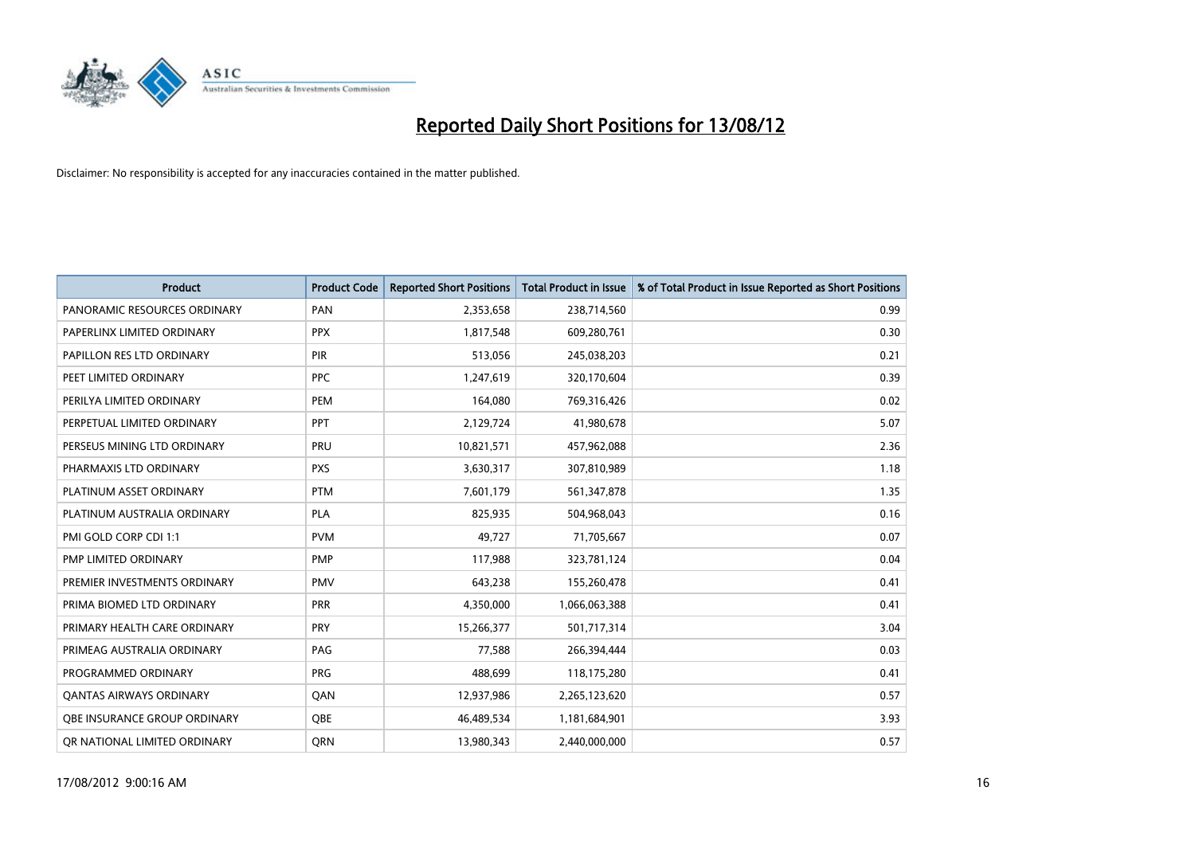

| <b>Product</b>                 | <b>Product Code</b> | <b>Reported Short Positions</b> | <b>Total Product in Issue</b> | % of Total Product in Issue Reported as Short Positions |
|--------------------------------|---------------------|---------------------------------|-------------------------------|---------------------------------------------------------|
| PANORAMIC RESOURCES ORDINARY   | PAN                 | 2,353,658                       | 238,714,560                   | 0.99                                                    |
| PAPERLINX LIMITED ORDINARY     | <b>PPX</b>          | 1,817,548                       | 609,280,761                   | 0.30                                                    |
| PAPILLON RES LTD ORDINARY      | <b>PIR</b>          | 513,056                         | 245,038,203                   | 0.21                                                    |
| PEET LIMITED ORDINARY          | <b>PPC</b>          | 1,247,619                       | 320,170,604                   | 0.39                                                    |
| PERILYA LIMITED ORDINARY       | PEM                 | 164,080                         | 769,316,426                   | 0.02                                                    |
| PERPETUAL LIMITED ORDINARY     | PPT                 | 2,129,724                       | 41,980,678                    | 5.07                                                    |
| PERSEUS MINING LTD ORDINARY    | <b>PRU</b>          | 10,821,571                      | 457,962,088                   | 2.36                                                    |
| PHARMAXIS LTD ORDINARY         | <b>PXS</b>          | 3,630,317                       | 307,810,989                   | 1.18                                                    |
| PLATINUM ASSET ORDINARY        | <b>PTM</b>          | 7,601,179                       | 561,347,878                   | 1.35                                                    |
| PLATINUM AUSTRALIA ORDINARY    | <b>PLA</b>          | 825,935                         | 504,968,043                   | 0.16                                                    |
| PMI GOLD CORP CDI 1:1          | <b>PVM</b>          | 49,727                          | 71,705,667                    | 0.07                                                    |
| PMP LIMITED ORDINARY           | <b>PMP</b>          | 117,988                         | 323,781,124                   | 0.04                                                    |
| PREMIER INVESTMENTS ORDINARY   | <b>PMV</b>          | 643,238                         | 155,260,478                   | 0.41                                                    |
| PRIMA BIOMED LTD ORDINARY      | <b>PRR</b>          | 4,350,000                       | 1,066,063,388                 | 0.41                                                    |
| PRIMARY HEALTH CARE ORDINARY   | PRY                 | 15,266,377                      | 501,717,314                   | 3.04                                                    |
| PRIMEAG AUSTRALIA ORDINARY     | PAG                 | 77,588                          | 266,394,444                   | 0.03                                                    |
| PROGRAMMED ORDINARY            | <b>PRG</b>          | 488,699                         | 118,175,280                   | 0.41                                                    |
| <b>QANTAS AIRWAYS ORDINARY</b> | QAN                 | 12,937,986                      | 2,265,123,620                 | 0.57                                                    |
| OBE INSURANCE GROUP ORDINARY   | <b>OBE</b>          | 46,489,534                      | 1,181,684,901                 | 3.93                                                    |
| OR NATIONAL LIMITED ORDINARY   | <b>ORN</b>          | 13,980,343                      | 2,440,000,000                 | 0.57                                                    |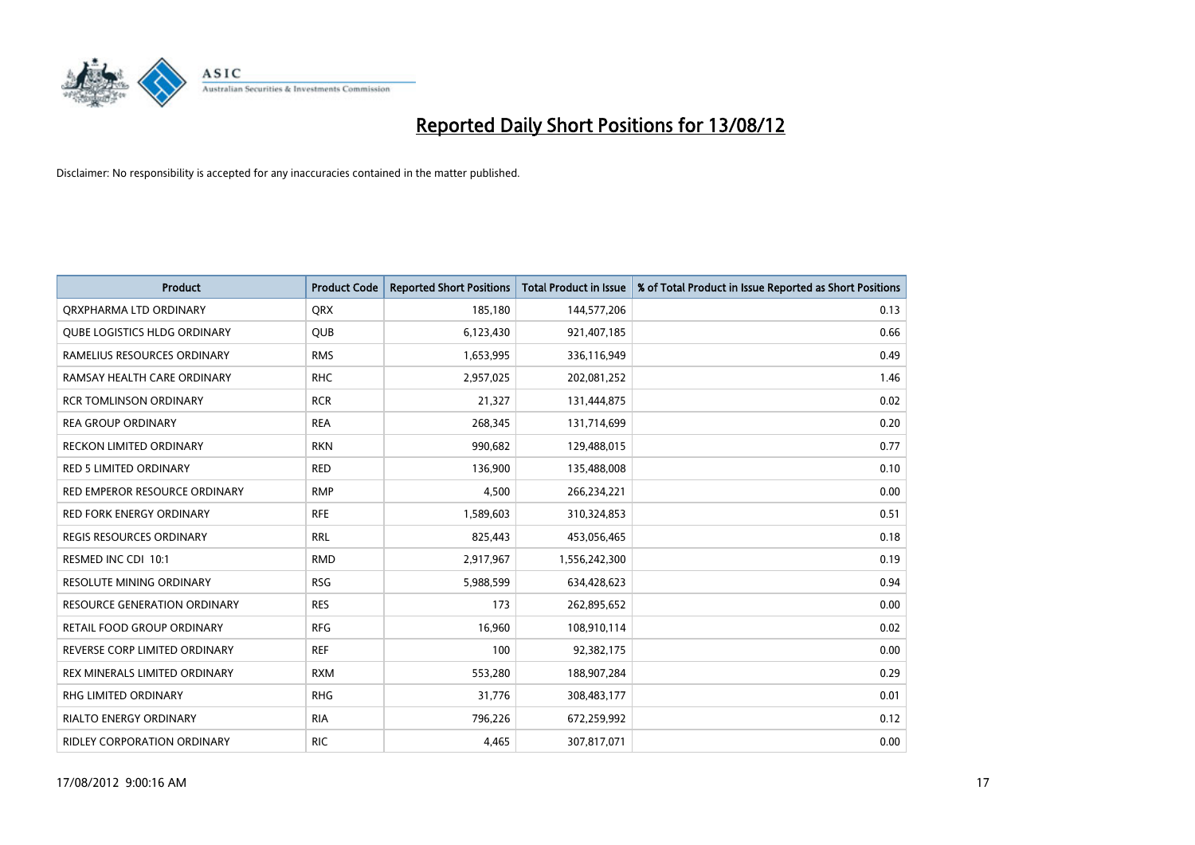

| <b>Product</b>                      | <b>Product Code</b> | <b>Reported Short Positions</b> | <b>Total Product in Issue</b> | % of Total Product in Issue Reported as Short Positions |
|-------------------------------------|---------------------|---------------------------------|-------------------------------|---------------------------------------------------------|
| ORXPHARMA LTD ORDINARY              | <b>ORX</b>          | 185,180                         | 144,577,206                   | 0.13                                                    |
| QUBE LOGISTICS HLDG ORDINARY        | QUB                 | 6,123,430                       | 921,407,185                   | 0.66                                                    |
| RAMELIUS RESOURCES ORDINARY         | <b>RMS</b>          | 1,653,995                       | 336,116,949                   | 0.49                                                    |
| RAMSAY HEALTH CARE ORDINARY         | <b>RHC</b>          | 2,957,025                       | 202,081,252                   | 1.46                                                    |
| <b>RCR TOMLINSON ORDINARY</b>       | <b>RCR</b>          | 21,327                          | 131,444,875                   | 0.02                                                    |
| <b>REA GROUP ORDINARY</b>           | <b>REA</b>          | 268,345                         | 131,714,699                   | 0.20                                                    |
| <b>RECKON LIMITED ORDINARY</b>      | <b>RKN</b>          | 990,682                         | 129,488,015                   | 0.77                                                    |
| <b>RED 5 LIMITED ORDINARY</b>       | <b>RED</b>          | 136,900                         | 135,488,008                   | 0.10                                                    |
| RED EMPEROR RESOURCE ORDINARY       | <b>RMP</b>          | 4,500                           | 266,234,221                   | 0.00                                                    |
| <b>RED FORK ENERGY ORDINARY</b>     | <b>RFE</b>          | 1,589,603                       | 310,324,853                   | 0.51                                                    |
| REGIS RESOURCES ORDINARY            | <b>RRL</b>          | 825,443                         | 453,056,465                   | 0.18                                                    |
| RESMED INC CDI 10:1                 | <b>RMD</b>          | 2,917,967                       | 1,556,242,300                 | 0.19                                                    |
| RESOLUTE MINING ORDINARY            | <b>RSG</b>          | 5,988,599                       | 634,428,623                   | 0.94                                                    |
| <b>RESOURCE GENERATION ORDINARY</b> | <b>RES</b>          | 173                             | 262,895,652                   | 0.00                                                    |
| RETAIL FOOD GROUP ORDINARY          | <b>RFG</b>          | 16,960                          | 108,910,114                   | 0.02                                                    |
| REVERSE CORP LIMITED ORDINARY       | <b>REF</b>          | 100                             | 92,382,175                    | 0.00                                                    |
| REX MINERALS LIMITED ORDINARY       | <b>RXM</b>          | 553,280                         | 188,907,284                   | 0.29                                                    |
| RHG LIMITED ORDINARY                | <b>RHG</b>          | 31,776                          | 308,483,177                   | 0.01                                                    |
| <b>RIALTO ENERGY ORDINARY</b>       | <b>RIA</b>          | 796,226                         | 672,259,992                   | 0.12                                                    |
| <b>RIDLEY CORPORATION ORDINARY</b>  | <b>RIC</b>          | 4.465                           | 307,817,071                   | 0.00                                                    |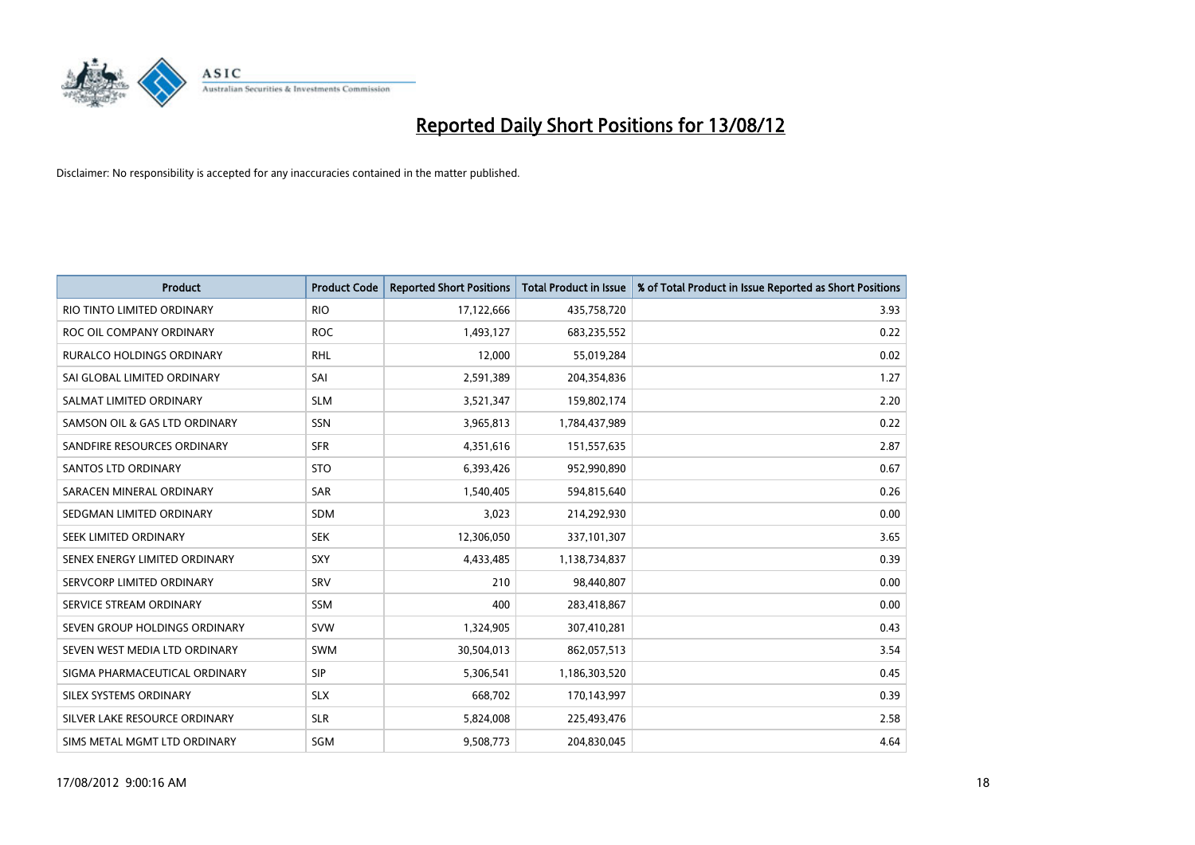

| <b>Product</b>                | <b>Product Code</b> | <b>Reported Short Positions</b> | <b>Total Product in Issue</b> | % of Total Product in Issue Reported as Short Positions |
|-------------------------------|---------------------|---------------------------------|-------------------------------|---------------------------------------------------------|
| RIO TINTO LIMITED ORDINARY    | <b>RIO</b>          | 17,122,666                      | 435,758,720                   | 3.93                                                    |
| ROC OIL COMPANY ORDINARY      | <b>ROC</b>          | 1,493,127                       | 683,235,552                   | 0.22                                                    |
| RURALCO HOLDINGS ORDINARY     | <b>RHL</b>          | 12,000                          | 55,019,284                    | 0.02                                                    |
| SAI GLOBAL LIMITED ORDINARY   | SAI                 | 2,591,389                       | 204,354,836                   | 1.27                                                    |
| SALMAT LIMITED ORDINARY       | <b>SLM</b>          | 3,521,347                       | 159,802,174                   | 2.20                                                    |
| SAMSON OIL & GAS LTD ORDINARY | <b>SSN</b>          | 3,965,813                       | 1,784,437,989                 | 0.22                                                    |
| SANDFIRE RESOURCES ORDINARY   | <b>SFR</b>          | 4,351,616                       | 151,557,635                   | 2.87                                                    |
| <b>SANTOS LTD ORDINARY</b>    | <b>STO</b>          | 6,393,426                       | 952,990,890                   | 0.67                                                    |
| SARACEN MINERAL ORDINARY      | <b>SAR</b>          | 1,540,405                       | 594,815,640                   | 0.26                                                    |
| SEDGMAN LIMITED ORDINARY      | <b>SDM</b>          | 3,023                           | 214,292,930                   | 0.00                                                    |
| SEEK LIMITED ORDINARY         | <b>SEK</b>          | 12,306,050                      | 337,101,307                   | 3.65                                                    |
| SENEX ENERGY LIMITED ORDINARY | <b>SXY</b>          | 4,433,485                       | 1,138,734,837                 | 0.39                                                    |
| SERVCORP LIMITED ORDINARY     | SRV                 | 210                             | 98,440,807                    | 0.00                                                    |
| SERVICE STREAM ORDINARY       | <b>SSM</b>          | 400                             | 283,418,867                   | 0.00                                                    |
| SEVEN GROUP HOLDINGS ORDINARY | <b>SVW</b>          | 1,324,905                       | 307,410,281                   | 0.43                                                    |
| SEVEN WEST MEDIA LTD ORDINARY | <b>SWM</b>          | 30,504,013                      | 862,057,513                   | 3.54                                                    |
| SIGMA PHARMACEUTICAL ORDINARY | <b>SIP</b>          | 5,306,541                       | 1,186,303,520                 | 0.45                                                    |
| SILEX SYSTEMS ORDINARY        | <b>SLX</b>          | 668,702                         | 170,143,997                   | 0.39                                                    |
| SILVER LAKE RESOURCE ORDINARY | <b>SLR</b>          | 5,824,008                       | 225,493,476                   | 2.58                                                    |
| SIMS METAL MGMT LTD ORDINARY  | SGM                 | 9,508,773                       | 204,830,045                   | 4.64                                                    |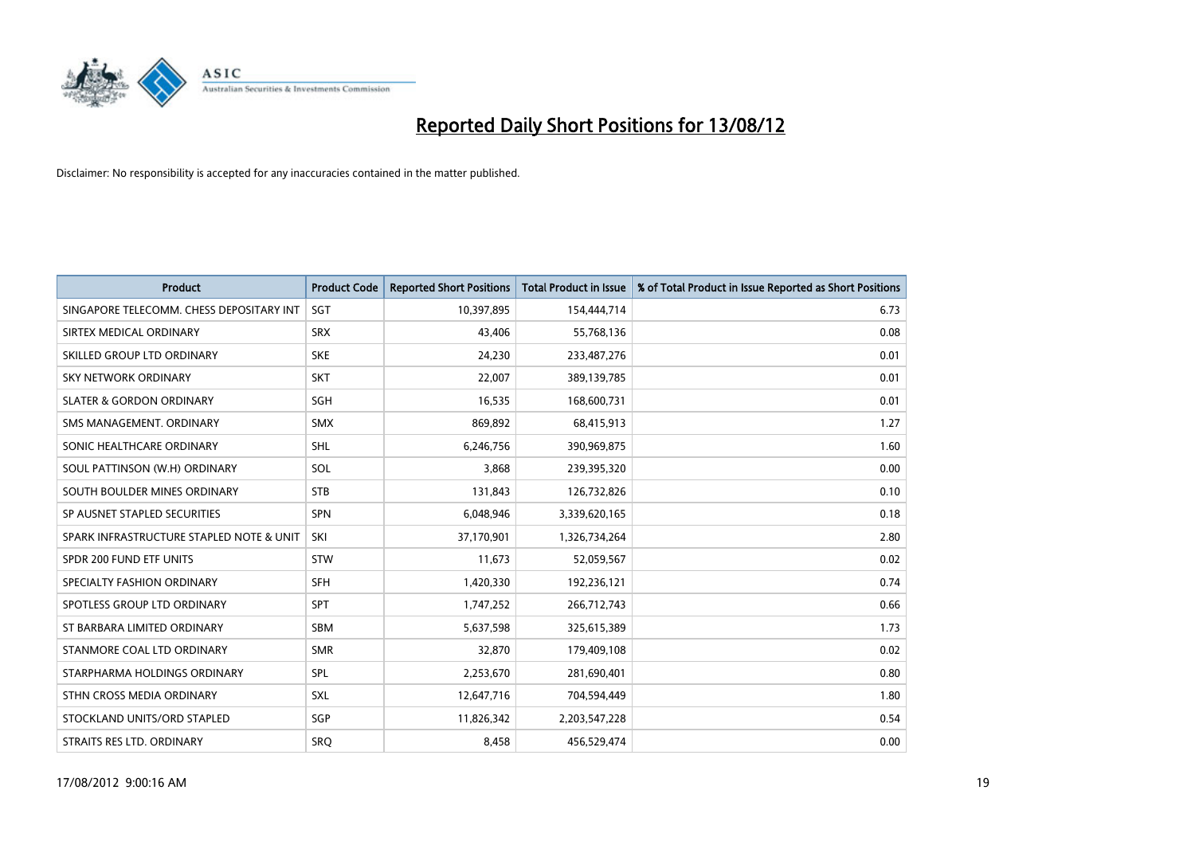

| <b>Product</b>                           | <b>Product Code</b> | <b>Reported Short Positions</b> | <b>Total Product in Issue</b> | % of Total Product in Issue Reported as Short Positions |
|------------------------------------------|---------------------|---------------------------------|-------------------------------|---------------------------------------------------------|
| SINGAPORE TELECOMM. CHESS DEPOSITARY INT | SGT                 | 10,397,895                      | 154,444,714                   | 6.73                                                    |
| SIRTEX MEDICAL ORDINARY                  | <b>SRX</b>          | 43,406                          | 55,768,136                    | 0.08                                                    |
| SKILLED GROUP LTD ORDINARY               | <b>SKE</b>          | 24,230                          | 233,487,276                   | 0.01                                                    |
| SKY NETWORK ORDINARY                     | <b>SKT</b>          | 22,007                          | 389,139,785                   | 0.01                                                    |
| <b>SLATER &amp; GORDON ORDINARY</b>      | SGH                 | 16,535                          | 168,600,731                   | 0.01                                                    |
| SMS MANAGEMENT, ORDINARY                 | <b>SMX</b>          | 869,892                         | 68,415,913                    | 1.27                                                    |
| SONIC HEALTHCARE ORDINARY                | <b>SHL</b>          | 6,246,756                       | 390,969,875                   | 1.60                                                    |
| SOUL PATTINSON (W.H) ORDINARY            | SOL                 | 3,868                           | 239,395,320                   | 0.00                                                    |
| SOUTH BOULDER MINES ORDINARY             | <b>STB</b>          | 131,843                         | 126,732,826                   | 0.10                                                    |
| SP AUSNET STAPLED SECURITIES             | <b>SPN</b>          | 6,048,946                       | 3,339,620,165                 | 0.18                                                    |
| SPARK INFRASTRUCTURE STAPLED NOTE & UNIT | SKI                 | 37,170,901                      | 1,326,734,264                 | 2.80                                                    |
| SPDR 200 FUND ETF UNITS                  | <b>STW</b>          | 11,673                          | 52,059,567                    | 0.02                                                    |
| SPECIALTY FASHION ORDINARY               | <b>SFH</b>          | 1,420,330                       | 192,236,121                   | 0.74                                                    |
| SPOTLESS GROUP LTD ORDINARY              | <b>SPT</b>          | 1,747,252                       | 266,712,743                   | 0.66                                                    |
| ST BARBARA LIMITED ORDINARY              | <b>SBM</b>          | 5,637,598                       | 325,615,389                   | 1.73                                                    |
| STANMORE COAL LTD ORDINARY               | <b>SMR</b>          | 32,870                          | 179,409,108                   | 0.02                                                    |
| STARPHARMA HOLDINGS ORDINARY             | SPL                 | 2,253,670                       | 281,690,401                   | 0.80                                                    |
| STHN CROSS MEDIA ORDINARY                | <b>SXL</b>          | 12,647,716                      | 704,594,449                   | 1.80                                                    |
| STOCKLAND UNITS/ORD STAPLED              | SGP                 | 11,826,342                      | 2,203,547,228                 | 0.54                                                    |
| STRAITS RES LTD. ORDINARY                | SRO                 | 8,458                           | 456,529,474                   | 0.00                                                    |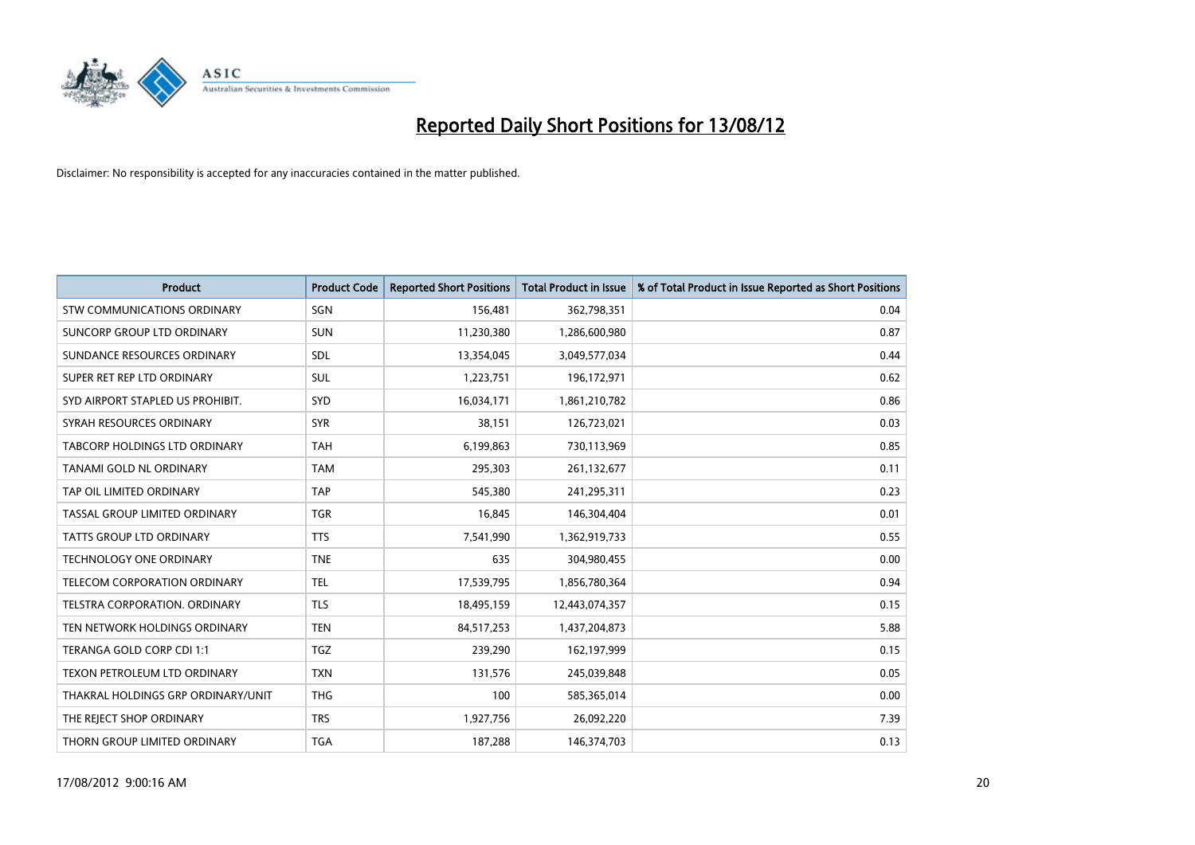

| <b>Product</b>                       | <b>Product Code</b> | <b>Reported Short Positions</b> | <b>Total Product in Issue</b> | % of Total Product in Issue Reported as Short Positions |
|--------------------------------------|---------------------|---------------------------------|-------------------------------|---------------------------------------------------------|
| <b>STW COMMUNICATIONS ORDINARY</b>   | SGN                 | 156,481                         | 362,798,351                   | 0.04                                                    |
| SUNCORP GROUP LTD ORDINARY           | <b>SUN</b>          | 11,230,380                      | 1,286,600,980                 | 0.87                                                    |
| SUNDANCE RESOURCES ORDINARY          | <b>SDL</b>          | 13,354,045                      | 3,049,577,034                 | 0.44                                                    |
| SUPER RET REP LTD ORDINARY           | <b>SUL</b>          | 1,223,751                       | 196,172,971                   | 0.62                                                    |
| SYD AIRPORT STAPLED US PROHIBIT.     | <b>SYD</b>          | 16,034,171                      | 1,861,210,782                 | 0.86                                                    |
| SYRAH RESOURCES ORDINARY             | <b>SYR</b>          | 38,151                          | 126,723,021                   | 0.03                                                    |
| <b>TABCORP HOLDINGS LTD ORDINARY</b> | <b>TAH</b>          | 6,199,863                       | 730,113,969                   | 0.85                                                    |
| TANAMI GOLD NL ORDINARY              | <b>TAM</b>          | 295,303                         | 261,132,677                   | 0.11                                                    |
| TAP OIL LIMITED ORDINARY             | <b>TAP</b>          | 545,380                         | 241,295,311                   | 0.23                                                    |
| TASSAL GROUP LIMITED ORDINARY        | <b>TGR</b>          | 16,845                          | 146,304,404                   | 0.01                                                    |
| TATTS GROUP LTD ORDINARY             | <b>TTS</b>          | 7,541,990                       | 1,362,919,733                 | 0.55                                                    |
| <b>TECHNOLOGY ONE ORDINARY</b>       | <b>TNE</b>          | 635                             | 304,980,455                   | 0.00                                                    |
| <b>TELECOM CORPORATION ORDINARY</b>  | <b>TEL</b>          | 17,539,795                      | 1,856,780,364                 | 0.94                                                    |
| <b>TELSTRA CORPORATION, ORDINARY</b> | <b>TLS</b>          | 18,495,159                      | 12,443,074,357                | 0.15                                                    |
| TEN NETWORK HOLDINGS ORDINARY        | <b>TEN</b>          | 84,517,253                      | 1,437,204,873                 | 5.88                                                    |
| TERANGA GOLD CORP CDI 1:1            | <b>TGZ</b>          | 239,290                         | 162,197,999                   | 0.15                                                    |
| TEXON PETROLEUM LTD ORDINARY         | <b>TXN</b>          | 131,576                         | 245,039,848                   | 0.05                                                    |
| THAKRAL HOLDINGS GRP ORDINARY/UNIT   | <b>THG</b>          | 100                             | 585,365,014                   | 0.00                                                    |
| THE REJECT SHOP ORDINARY             | <b>TRS</b>          | 1,927,756                       | 26,092,220                    | 7.39                                                    |
| THORN GROUP LIMITED ORDINARY         | <b>TGA</b>          | 187,288                         | 146,374,703                   | 0.13                                                    |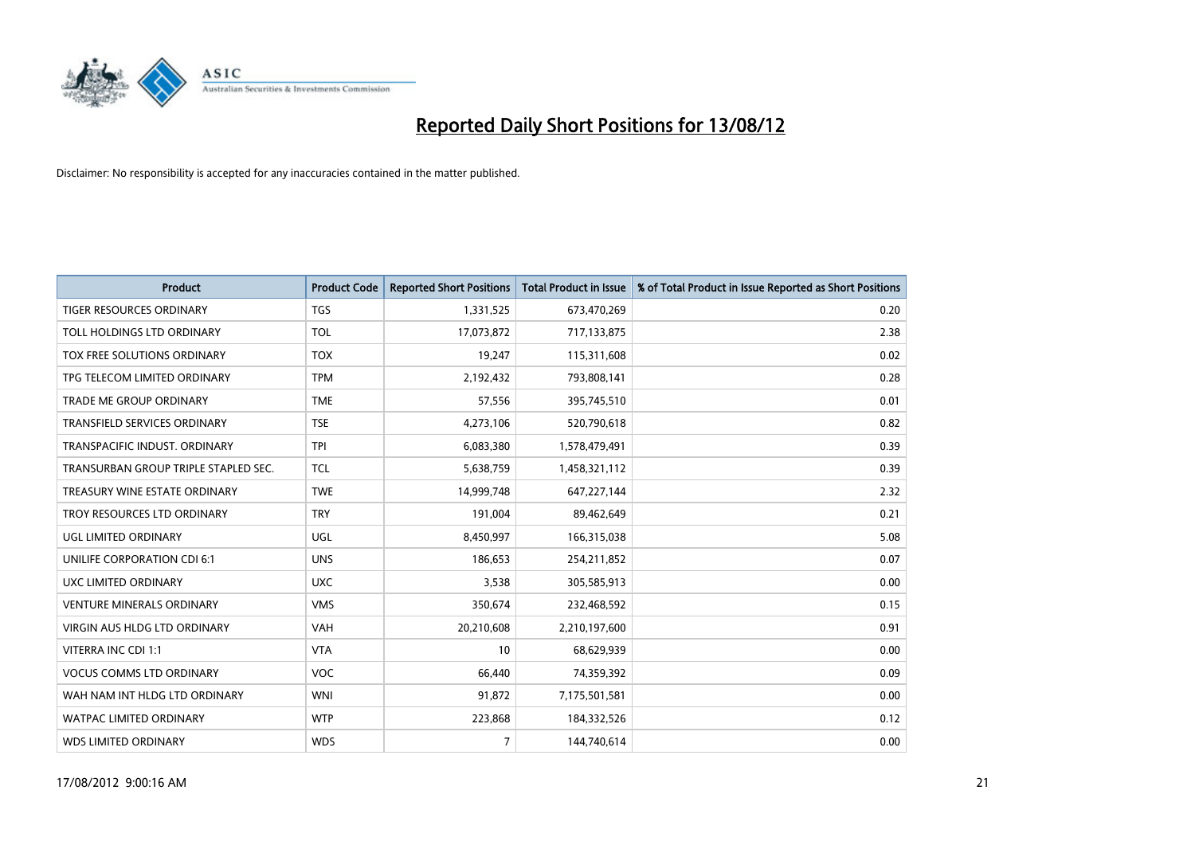

| <b>Product</b>                       | <b>Product Code</b> | <b>Reported Short Positions</b> | <b>Total Product in Issue</b> | % of Total Product in Issue Reported as Short Positions |
|--------------------------------------|---------------------|---------------------------------|-------------------------------|---------------------------------------------------------|
| <b>TIGER RESOURCES ORDINARY</b>      | <b>TGS</b>          | 1,331,525                       | 673,470,269                   | 0.20                                                    |
| TOLL HOLDINGS LTD ORDINARY           | <b>TOL</b>          | 17,073,872                      | 717,133,875                   | 2.38                                                    |
| TOX FREE SOLUTIONS ORDINARY          | <b>TOX</b>          | 19,247                          | 115,311,608                   | 0.02                                                    |
| TPG TELECOM LIMITED ORDINARY         | <b>TPM</b>          | 2,192,432                       | 793,808,141                   | 0.28                                                    |
| <b>TRADE ME GROUP ORDINARY</b>       | <b>TME</b>          | 57,556                          | 395,745,510                   | 0.01                                                    |
| <b>TRANSFIELD SERVICES ORDINARY</b>  | <b>TSE</b>          | 4,273,106                       | 520,790,618                   | 0.82                                                    |
| TRANSPACIFIC INDUST, ORDINARY        | <b>TPI</b>          | 6,083,380                       | 1,578,479,491                 | 0.39                                                    |
| TRANSURBAN GROUP TRIPLE STAPLED SEC. | <b>TCL</b>          | 5,638,759                       | 1,458,321,112                 | 0.39                                                    |
| TREASURY WINE ESTATE ORDINARY        | <b>TWE</b>          | 14,999,748                      | 647,227,144                   | 2.32                                                    |
| TROY RESOURCES LTD ORDINARY          | <b>TRY</b>          | 191,004                         | 89,462,649                    | 0.21                                                    |
| UGL LIMITED ORDINARY                 | UGL                 | 8,450,997                       | 166,315,038                   | 5.08                                                    |
| <b>UNILIFE CORPORATION CDI 6:1</b>   | <b>UNS</b>          | 186,653                         | 254,211,852                   | 0.07                                                    |
| UXC LIMITED ORDINARY                 | <b>UXC</b>          | 3,538                           | 305,585,913                   | 0.00                                                    |
| <b>VENTURE MINERALS ORDINARY</b>     | <b>VMS</b>          | 350,674                         | 232,468,592                   | 0.15                                                    |
| <b>VIRGIN AUS HLDG LTD ORDINARY</b>  | <b>VAH</b>          | 20,210,608                      | 2,210,197,600                 | 0.91                                                    |
| VITERRA INC CDI 1:1                  | <b>VTA</b>          | 10                              | 68,629,939                    | 0.00                                                    |
| <b>VOCUS COMMS LTD ORDINARY</b>      | <b>VOC</b>          | 66,440                          | 74,359,392                    | 0.09                                                    |
| WAH NAM INT HLDG LTD ORDINARY        | <b>WNI</b>          | 91,872                          | 7,175,501,581                 | 0.00                                                    |
| <b>WATPAC LIMITED ORDINARY</b>       | <b>WTP</b>          | 223,868                         | 184,332,526                   | 0.12                                                    |
| <b>WDS LIMITED ORDINARY</b>          | <b>WDS</b>          | $\overline{7}$                  | 144,740,614                   | 0.00                                                    |